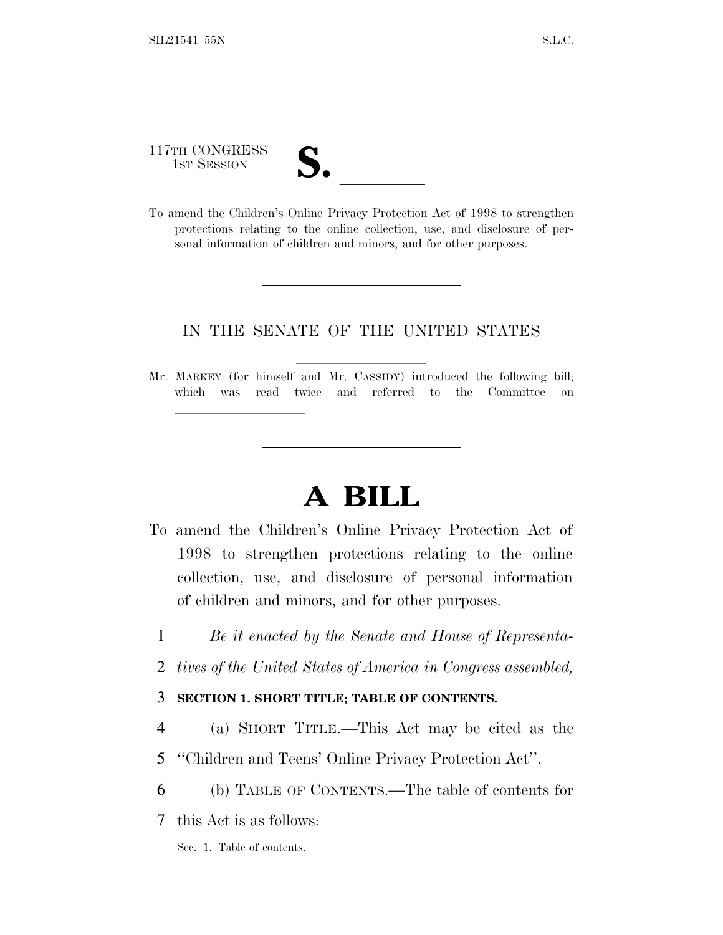117TH CONGRESS

lland and a state of the state of the state of the state of the state of the state of the state of the state o

117TH CONGRESS<br>
1ST SESSION<br>
To amend the Children's Online Privacy Protection Act of 1998 to strengthen protections relating to the online collection, use, and disclosure of personal information of children and minors, and for other purposes.

#### IN THE SENATE OF THE UNITED STATES

Mr. MARKEY (for himself and Mr. CASSIDY) introduced the following bill; which was read twice and referred to the Committee on

# **A BILL**

- To amend the Children's Online Privacy Protection Act of 1998 to strengthen protections relating to the online collection, use, and disclosure of personal information of children and minors, and for other purposes.
	- 1 *Be it enacted by the Senate and House of Representa-*
	- 2 *tives of the United States of America in Congress assembled,*

#### 3 **SECTION 1. SHORT TITLE; TABLE OF CONTENTS.**

- 4 (a) SHORT TITLE.—This Act may be cited as the
- 5 ''Children and Teens' Online Privacy Protection Act''.
- 6 (b) TABLE OF CONTENTS.—The table of contents for

7 this Act is as follows:

Sec. 1. Table of contents.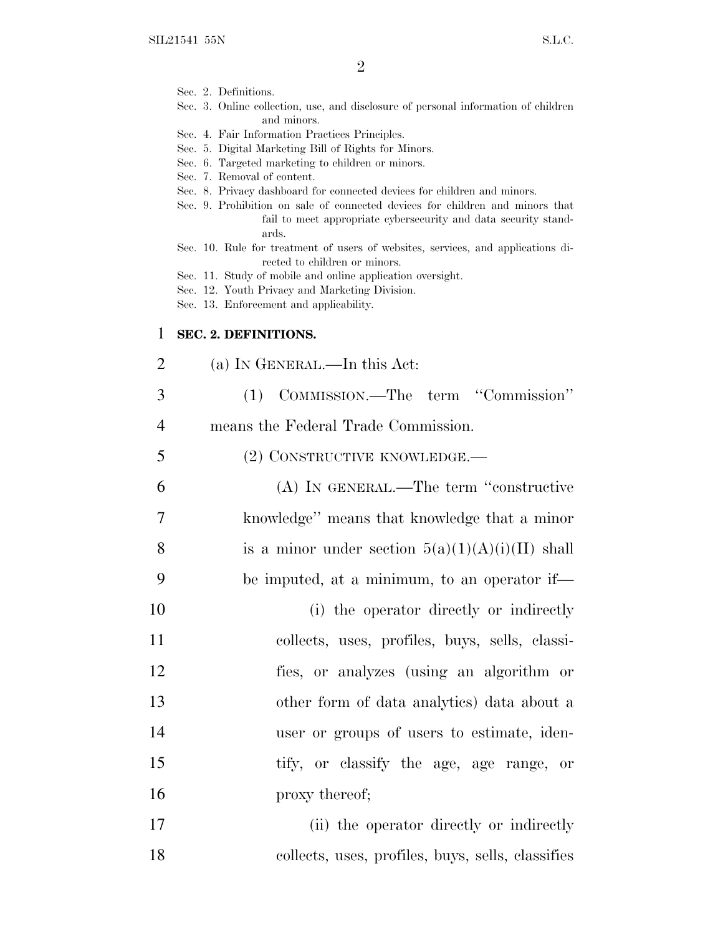|    | $\overline{2}$                                                                                                                                                                                                                                                                                                                                                                                                                      |
|----|-------------------------------------------------------------------------------------------------------------------------------------------------------------------------------------------------------------------------------------------------------------------------------------------------------------------------------------------------------------------------------------------------------------------------------------|
|    | Sec. 2. Definitions.<br>Sec. 3. Online collection, use, and disclosure of personal information of children<br>and minors.                                                                                                                                                                                                                                                                                                           |
|    | Sec. 4. Fair Information Practices Principles.<br>Sec. 5. Digital Marketing Bill of Rights for Minors.<br>Sec. 6. Targeted marketing to children or minors.<br>Sec. 7. Removal of content.<br>Sec. 8. Privacy dashboard for connected devices for children and minors.<br>Sec. 9. Prohibition on sale of connected devices for children and minors that<br>fail to meet appropriate cybersecurity and data security stand-<br>ards. |
|    | Sec. 10. Rule for treatment of users of websites, services, and applications di-<br>rected to children or minors.<br>Sec. 11. Study of mobile and online application oversight.<br>Sec. 12. Youth Privacy and Marketing Division.<br>Sec. 13. Enforcement and applicability.                                                                                                                                                        |
| 1  | SEC. 2. DEFINITIONS.                                                                                                                                                                                                                                                                                                                                                                                                                |
| 2  | (a) IN GENERAL.—In this Act:                                                                                                                                                                                                                                                                                                                                                                                                        |
| 3  | (1) COMMISSION.—The term "Commission"                                                                                                                                                                                                                                                                                                                                                                                               |
| 4  | means the Federal Trade Commission.                                                                                                                                                                                                                                                                                                                                                                                                 |
| 5  | (2) CONSTRUCTIVE KNOWLEDGE.—                                                                                                                                                                                                                                                                                                                                                                                                        |
| 6  | (A) IN GENERAL.—The term "constructive                                                                                                                                                                                                                                                                                                                                                                                              |
| 7  | knowledge" means that knowledge that a minor                                                                                                                                                                                                                                                                                                                                                                                        |
| 8  | is a minor under section $5(a)(1)(A)(i)(II)$ shall                                                                                                                                                                                                                                                                                                                                                                                  |
| 9  | be imputed, at a minimum, to an operator if—                                                                                                                                                                                                                                                                                                                                                                                        |
| 10 | (i) the operator directly or indirectly                                                                                                                                                                                                                                                                                                                                                                                             |
| 11 | collects, uses, profiles, buys, sells, classi-                                                                                                                                                                                                                                                                                                                                                                                      |
| 12 | fies, or analyzes (using an algorithm or                                                                                                                                                                                                                                                                                                                                                                                            |
| 13 | other form of data analytics) data about a                                                                                                                                                                                                                                                                                                                                                                                          |
| 14 | user or groups of users to estimate, iden-                                                                                                                                                                                                                                                                                                                                                                                          |
| 15 | tify, or classify the age, age range, or                                                                                                                                                                                                                                                                                                                                                                                            |
| 16 | proxy thereof;                                                                                                                                                                                                                                                                                                                                                                                                                      |

17 (ii) the operator directly or indirectly 18 collects, uses, profiles, buys, sells, classifies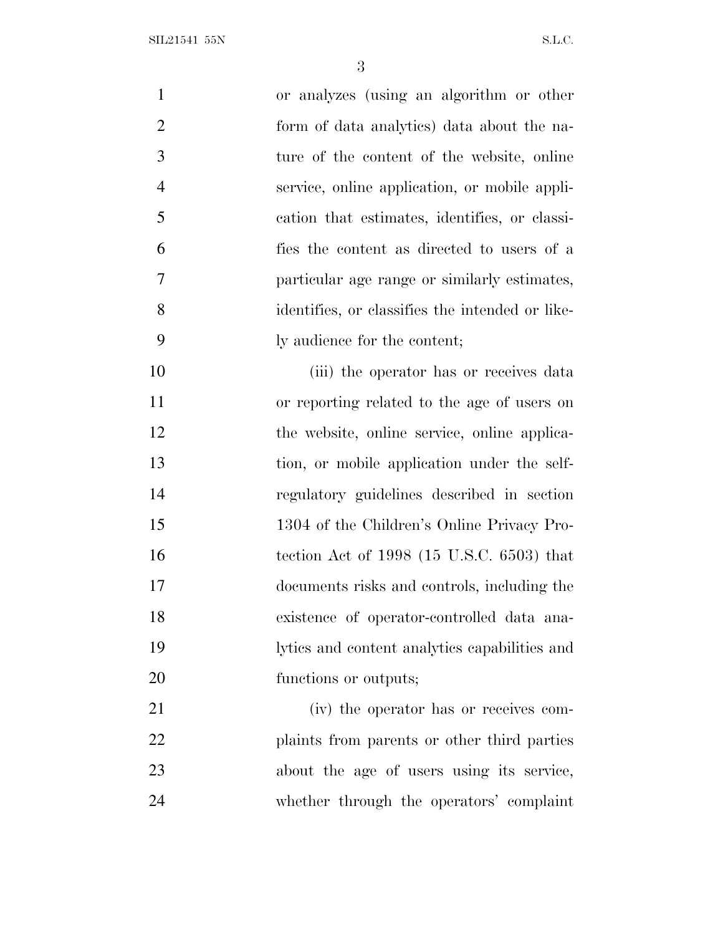SIL21541 55N S.L.C.

| $\mathbf{1}$   | or analyzes (using an algorithm or other        |
|----------------|-------------------------------------------------|
| $\overline{2}$ | form of data analytics) data about the na-      |
| 3              | ture of the content of the website, online      |
| $\overline{4}$ | service, online application, or mobile appli-   |
| 5              | cation that estimates, identifies, or classi-   |
| 6              | fies the content as directed to users of a      |
| 7              | particular age range or similarly estimates,    |
| 8              | identifies, or classifies the intended or like- |
| 9              | ly audience for the content;                    |
| 10             | (iii) the operator has or receives data         |
| 11             | or reporting related to the age of users on     |
| 12             | the website, online service, online applica-    |
| 13             | tion, or mobile application under the self-     |
| 14             | regulatory guidelines described in section      |
| 15             | 1304 of the Children's Online Privacy Pro-      |
| 16             | tection Act of $1998$ (15 U.S.C. 6503) that     |
| 17             | documents risks and controls, including the     |
| 18             | existence of operator-controlled data ana-      |
| 19             | lytics and content analytics capabilities and   |
| 20             | functions or outputs;                           |
| 21             | (iv) the operator has or receives com-          |
| 22             | plaints from parents or other third parties     |
| 23             | about the age of users using its service,       |
| 24             | whether through the operators' complaint        |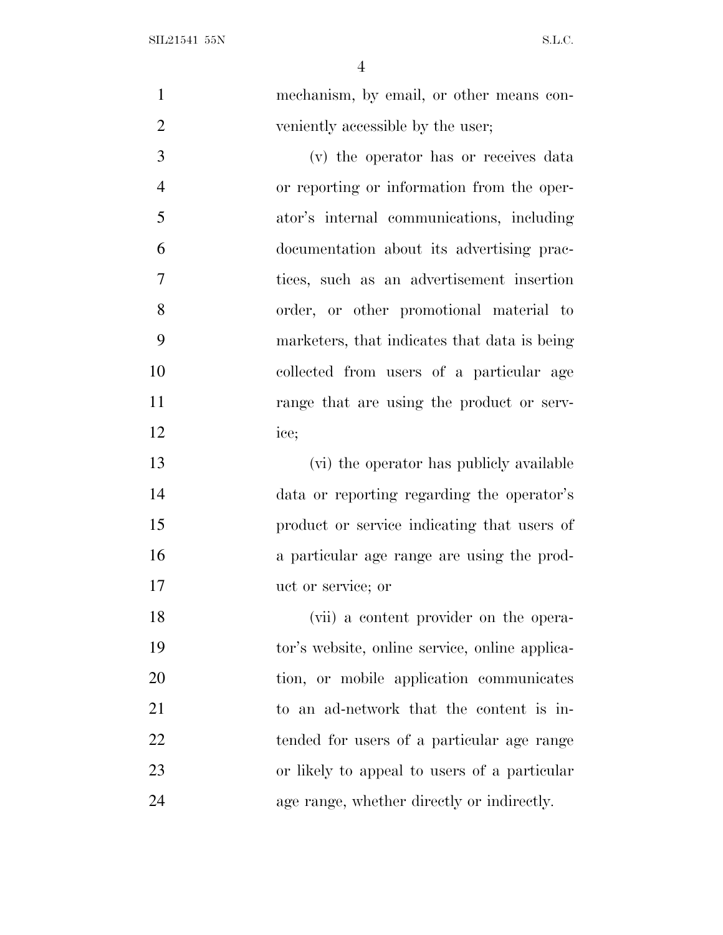| $\mathbf{1}$   | mechanism, by email, or other means con-       |
|----------------|------------------------------------------------|
| $\overline{2}$ | veniently accessible by the user;              |
| 3              | (v) the operator has or receives data          |
| $\overline{4}$ | or reporting or information from the oper-     |
| 5              | ator's internal communications, including      |
| 6              | documentation about its advertising prac-      |
| $\overline{7}$ | tices, such as an advertisement insertion      |
| 8              | order, or other promotional material to        |
| 9              | marketers, that indicates that data is being   |
| 10             | collected from users of a particular age       |
| 11             | range that are using the product or serv-      |
| 12             | ice;                                           |
| 13             | (vi) the operator has publicly available       |
| 14             | data or reporting regarding the operator's     |
| 15             | product or service indicating that users of    |
| 16             | a particular age range are using the prod-     |
| 17             | uct or service; or                             |
| 18             | (vii) a content provider on the opera-         |
| 19             | tor's website, online service, online applica- |
| 20             | tion, or mobile application communicates       |
| 21             | to an ad-network that the content is in-       |
| 22             | tended for users of a particular age range     |
| 23             | or likely to appeal to users of a particular   |
|                |                                                |
| 24             | age range, whether directly or indirectly.     |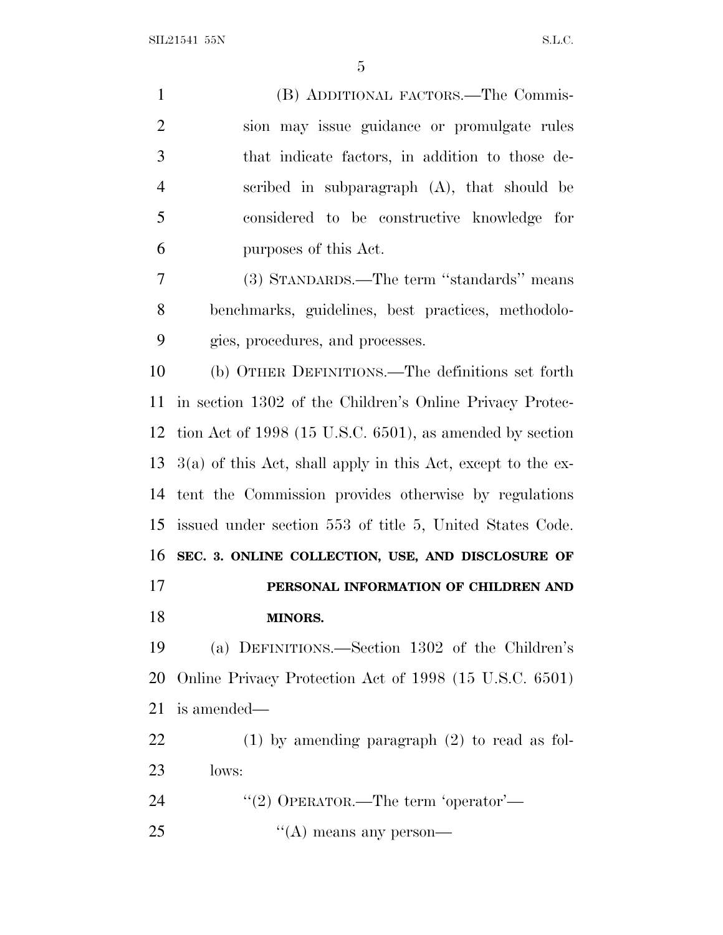$SLL21541$  55N S.L.C.

 (B) ADDITIONAL FACTORS.—The Commis- sion may issue guidance or promulgate rules that indicate factors, in addition to those de- scribed in subparagraph (A), that should be considered to be constructive knowledge for purposes of this Act. (3) STANDARDS.—The term ''standards'' means benchmarks, guidelines, best practices, methodolo- gies, procedures, and processes. (b) OTHER DEFINITIONS.—The definitions set forth in section 1302 of the Children's Online Privacy Protec- tion Act of 1998 (15 U.S.C. 6501), as amended by section 3(a) of this Act, shall apply in this Act, except to the ex- tent the Commission provides otherwise by regulations issued under section 553 of title 5, United States Code. **SEC. 3. ONLINE COLLECTION, USE, AND DISCLOSURE OF PERSONAL INFORMATION OF CHILDREN AND MINORS.** (a) DEFINITIONS.—Section 1302 of the Children's Online Privacy Protection Act of 1998 (15 U.S.C. 6501) is amended— (1) by amending paragraph (2) to read as fol- lows: 24 "(2) OPERATOR.—The term 'operator'—

25 "(A) means any person-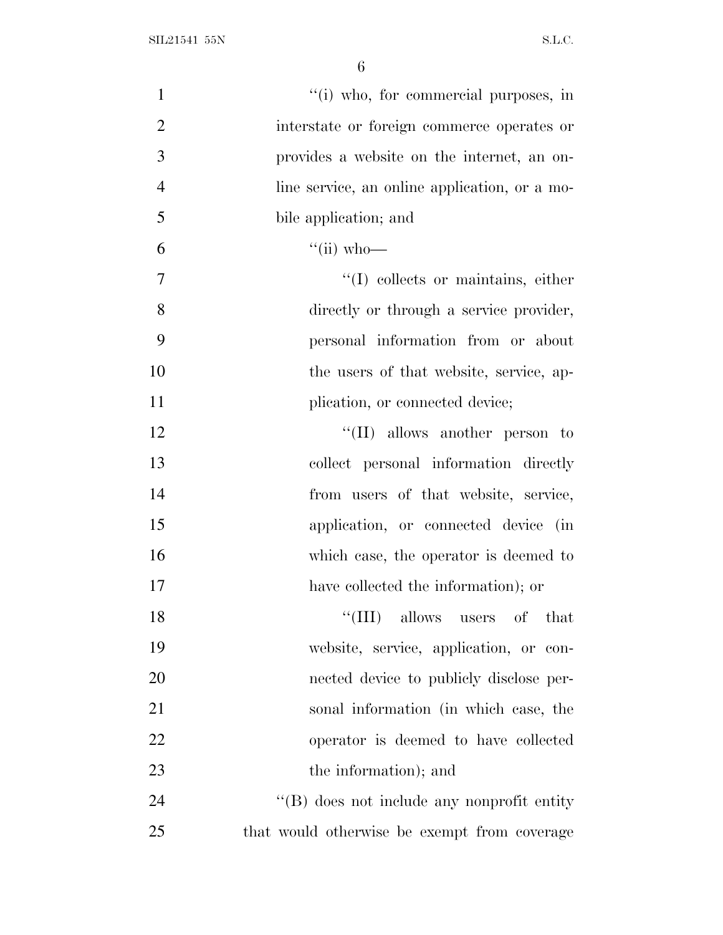| $\mathbf{1}$   | "(i) who, for commercial purposes, in         |
|----------------|-----------------------------------------------|
| $\overline{2}$ | interstate or foreign commerce operates or    |
| 3              | provides a website on the internet, an on-    |
| $\overline{4}$ | line service, an online application, or a mo- |
| 5              | bile application; and                         |
| 6              | $``(ii)$ who-                                 |
| $\overline{7}$ | "(I) collects or maintains, either            |
| 8              | directly or through a service provider,       |
| 9              | personal information from or about            |
| 10             | the users of that website, service, ap-       |
| 11             | plication, or connected device;               |
| 12             | $\lq\lq$ (II) allows another person to        |
| 13             | collect personal information directly         |
| 14             | from users of that website, service,          |
| 15             | application, or connected device (in          |
| 16             | which case, the operator is deemed to         |
| 17             | have collected the information); or           |
| 18             | "(III) allows users of that                   |
| 19             | website, service, application, or con-        |
| 20             | nected device to publicly disclose per-       |
| 21             | sonal information (in which case, the         |
| 22             | operator is deemed to have collected          |
| 23             | the information); and                         |
| 24             | "(B) does not include any nonprofit entity    |
| 25             | that would otherwise be exempt from coverage  |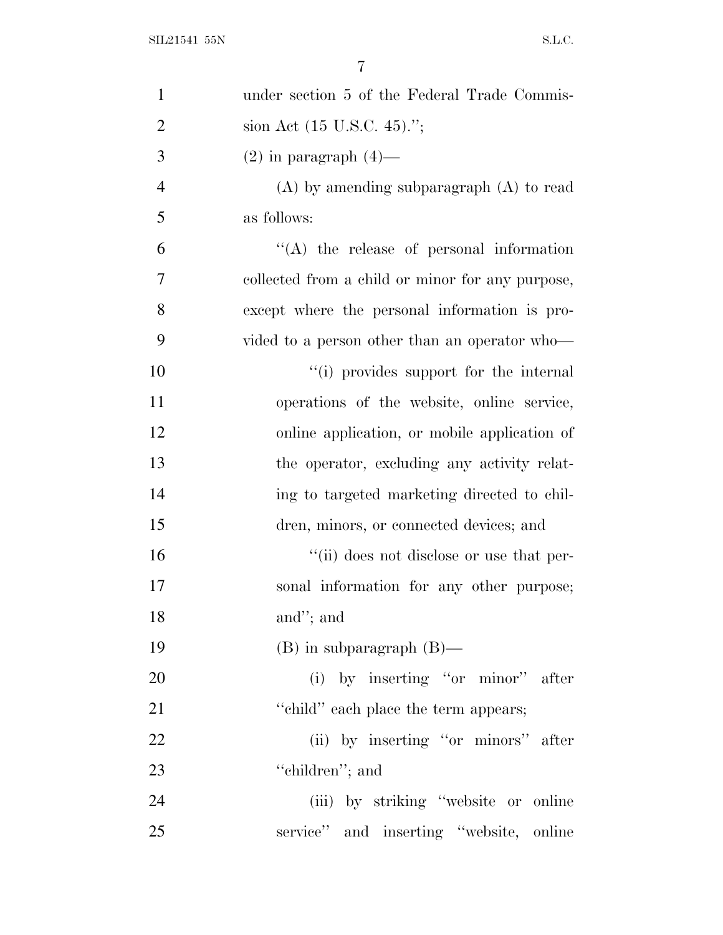| $\mathbf{1}$   | under section 5 of the Federal Trade Commis-     |
|----------------|--------------------------------------------------|
| $\overline{2}$ | sion Act $(15 \text{ U.S.C. } 45)$ .";           |
| 3              | $(2)$ in paragraph $(4)$ —                       |
| $\overline{4}$ | $(A)$ by amending subparagraph $(A)$ to read     |
| 5              | as follows:                                      |
| 6              | "(A) the release of personal information         |
| 7              | collected from a child or minor for any purpose, |
| 8              | except where the personal information is pro-    |
| 9              | vided to a person other than an operator who-    |
| 10             | "(i) provides support for the internal           |
| 11             | operations of the website, online service,       |
| 12             | online application, or mobile application of     |
| 13             | the operator, excluding any activity relat-      |
| 14             | ing to targeted marketing directed to chil-      |
| 15             | dren, minors, or connected devices; and          |
| 16             | "(ii) does not disclose or use that per-         |
| 17             | sonal information for any other purpose;         |
| 18             | and"; and                                        |
| 19             | $(B)$ in subparagraph $(B)$ —                    |
| 20             | (i) by inserting "or minor" after                |
| 21             | "child" each place the term appears;             |
| 22             | (ii) by inserting "or minors" after              |
| 23             | "children"; and                                  |
| 24             | (iii) by striking "website or online             |
| 25             | service" and inserting "website, online          |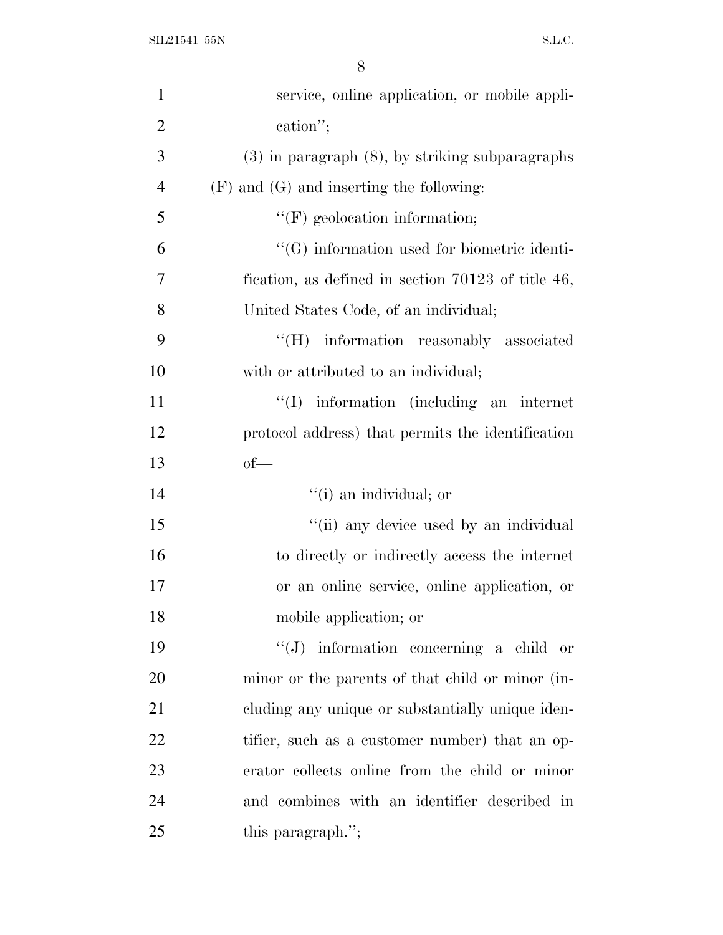| $\mathbf{1}$   | service, online application, or mobile appli-        |
|----------------|------------------------------------------------------|
| $\overline{2}$ | cation";                                             |
| 3              | $(3)$ in paragraph $(8)$ , by striking subparagraphs |
| $\overline{4}$ | $(F)$ and $(G)$ and inserting the following:         |
| 5              | $\lq\lq(F)$ geolocation information;                 |
| 6              | $\lq\lq(G)$ information used for biometric identi-   |
| 7              | fication, as defined in section $70123$ of title 46, |
| 8              | United States Code, of an individual;                |
| 9              | "(H) information reasonably associated               |
| 10             | with or attributed to an individual;                 |
| 11             | $\lq\lq$ information (including an internet          |
| 12             | protocol address) that permits the identification    |
| 13             | $of$ —                                               |
| 14             | "(i) an individual; or                               |
| 15             | "(ii) any device used by an individual               |
| 16             | to directly or indirectly access the internet        |
| 17             | or an online service, online application, or         |
| 18             | mobile application; or                               |
| 19             | "(J) information concerning a child or               |
| 20             | minor or the parents of that child or minor (in-     |
| 21             | cluding any unique or substantially unique iden-     |
| 22             | tifier, such as a customer number) that an op-       |
| 23             | erator collects online from the child or minor       |
| 24             | and combines with an identifier described in         |
| 25             | this paragraph.";                                    |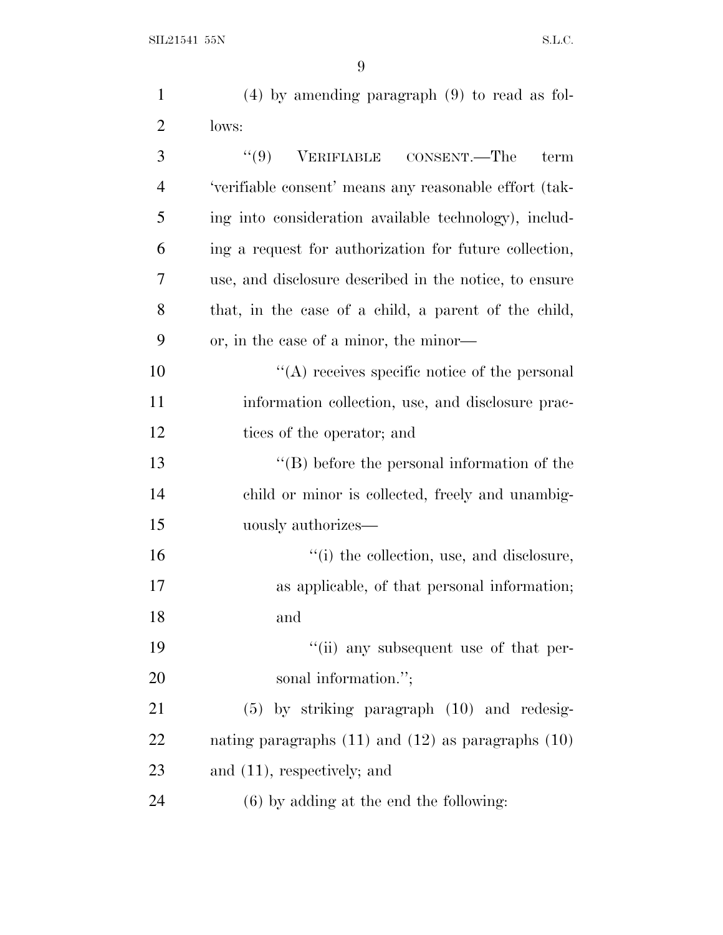| $\mathbf{1}$   | $(4)$ by amending paragraph $(9)$ to read as fol-        |
|----------------|----------------------------------------------------------|
| $\overline{2}$ | lows:                                                    |
| 3              | VERIFIABLE CONSENT.—The<br>(9)<br>term                   |
| $\overline{4}$ | 'verifiable consent' means any reasonable effort (tak-   |
| 5              | ing into consideration available technology), includ-    |
| 6              | ing a request for authorization for future collection,   |
| 7              | use, and disclosure described in the notice, to ensure   |
| 8              | that, in the case of a child, a parent of the child,     |
| 9              | or, in the case of a minor, the minor—                   |
| 10             | $\lq\lq$ receives specific notice of the personal        |
| 11             | information collection, use, and disclosure prac-        |
| 12             | tices of the operator; and                               |
| 13             | $\lq\lq (B)$ before the personal information of the      |
| 14             | child or minor is collected, freely and unambig-         |
| 15             | uously authorizes—                                       |
| 16             | "(i) the collection, use, and disclosure,                |
| 17             | as applicable, of that personal information;             |
| 18             | and                                                      |
| 19             | "(ii) any subsequent use of that per-                    |
| 20             | sonal information.";                                     |
| 21             | $(5)$ by striking paragraph $(10)$ and redesig-          |
| 22             | nating paragraphs $(11)$ and $(12)$ as paragraphs $(10)$ |
| 23             | and $(11)$ , respectively; and                           |
| 24             | $(6)$ by adding at the end the following:                |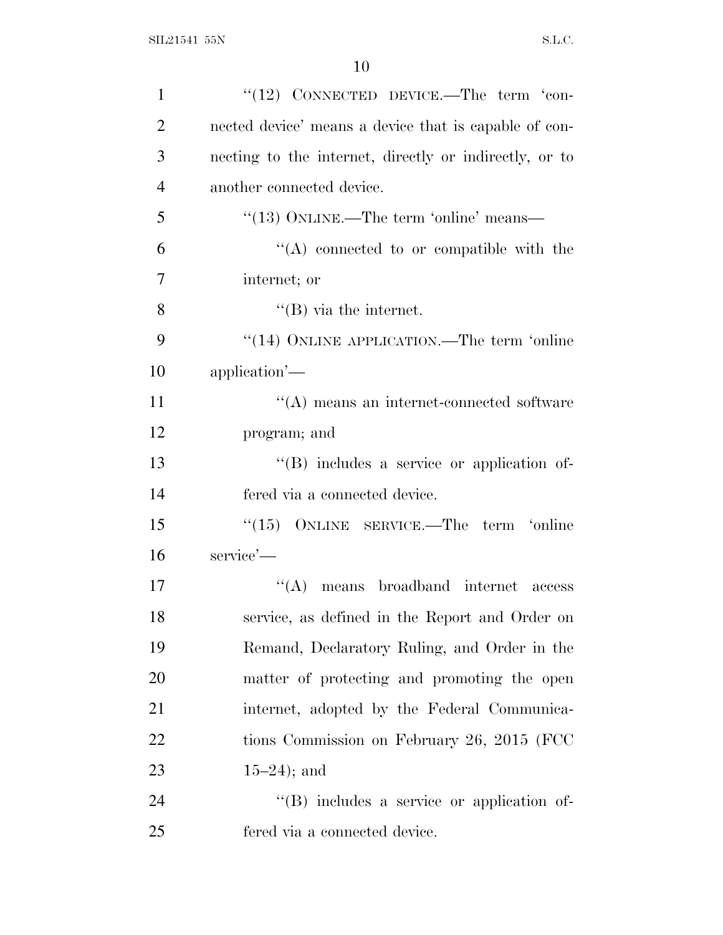| $\mathbf{1}$   | $``(12)$ CONNECTED DEVICE.—The term $'$ con-           |
|----------------|--------------------------------------------------------|
| $\overline{2}$ | nected device' means a device that is capable of con-  |
| 3              | necting to the internet, directly or indirectly, or to |
| $\overline{4}$ | another connected device.                              |
| 5              | "(13) ONLINE.—The term 'online' means—                 |
| 6              | $\lq\lq$ connected to or compatible with the           |
| $\overline{7}$ | internet; or                                           |
| 8              | $\lq\lq (B)$ via the internet.                         |
| 9              | "(14) ONLINE APPLICATION.—The term 'online             |
| 10             | application'—                                          |
| 11             | $\lq\lq$ means an internet-connected software          |
| 12             | program; and                                           |
| 13             | $\lq\lq (B)$ includes a service or application of-     |
| 14             | fered via a connected device.                          |
| 15             | $(15)$ ONLINE SERVICE.—The term 'online                |
| 16             | service'—                                              |
| 17             | ``(A)<br>means broadband internet access               |
| 18             | service, as defined in the Report and Order on         |
| 19             | Remand, Declaratory Ruling, and Order in the           |
| 20             | matter of protecting and promoting the open            |
| 21             | internet, adopted by the Federal Communica-            |
| 22             | tions Commission on February 26, 2015 (FCC             |
| 23             | $15-24$ ; and                                          |
| 24             | $\lq\lq$ . Service or application of-                  |
| 25             | fered via a connected device.                          |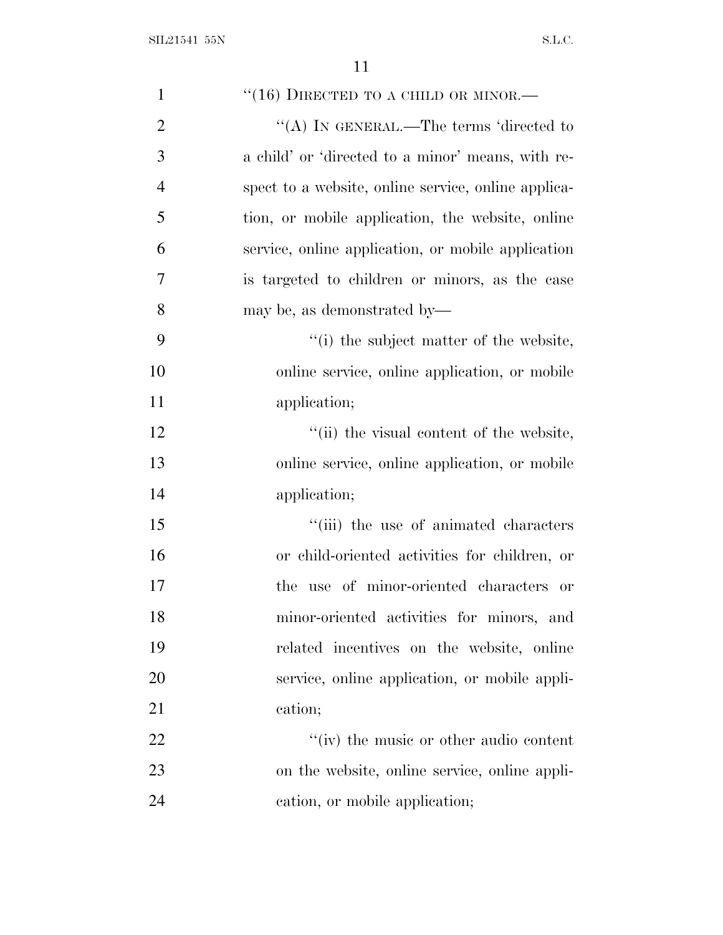| $\mathbf{1}$   | $``(16)$ DIRECTED TO A CHILD OR MINOR.—             |
|----------------|-----------------------------------------------------|
| $\overline{2}$ | "(A) IN GENERAL.—The terms 'directed to             |
| 3              | a child' or 'directed to a minor' means, with re-   |
| $\overline{4}$ | spect to a website, online service, online applica- |
| 5              | tion, or mobile application, the website, online    |
| 6              | service, online application, or mobile application  |
| 7              | is targeted to children or minors, as the case      |
| 8              | may be, as demonstrated by—                         |
| 9              | "(i) the subject matter of the website,             |
| 10             | online service, online application, or mobile       |
| 11             | application;                                        |
| 12             | "(ii) the visual content of the website,            |
| 13             | online service, online application, or mobile       |
| 14             | application;                                        |
| 15             | "(iii) the use of animated characters               |
| 16             | or child-oriented activities for children, or       |
| 17             | the use of minor-oriented characters or             |
| 18             | minor-oriented activities for minors, and           |
| 19             | related incentives on the website, online           |
| 20             | service, online application, or mobile appli-       |
| 21             | cation;                                             |
| 22             | "(iv) the music or other audio content              |
| 23             | on the website, online service, online appli-       |
| 24             | cation, or mobile application;                      |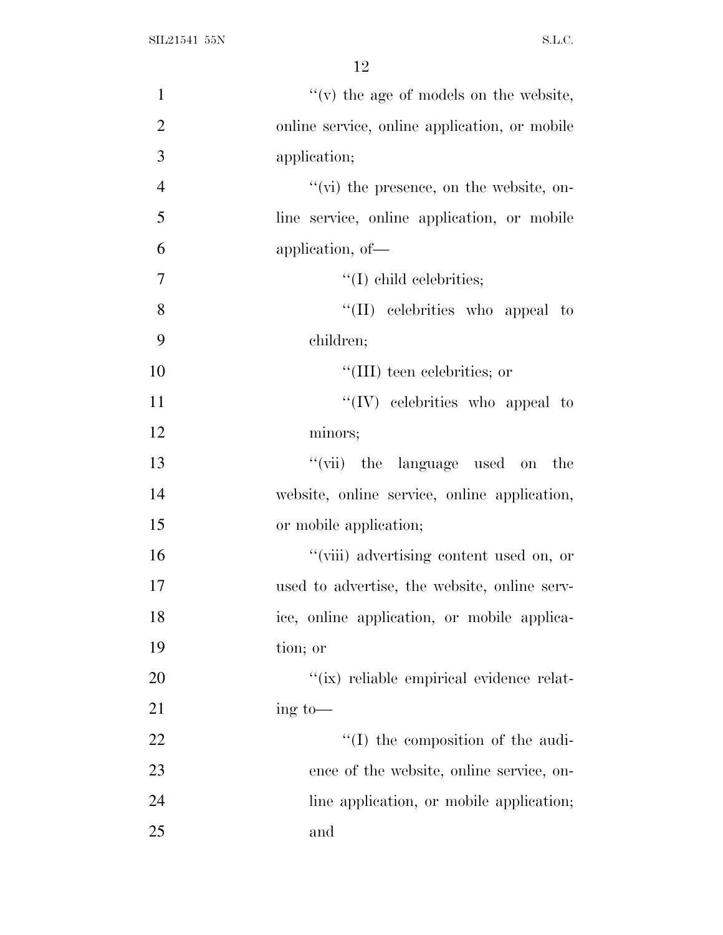| $\mathbf{1}$   | $f'(v)$ the age of models on the website,       |
|----------------|-------------------------------------------------|
| $\overline{2}$ | online service, online application, or mobile   |
| 3              | application;                                    |
| $\overline{4}$ | $\lq\lq$ (vi) the presence, on the website, on- |
| 5              | line service, online application, or mobile     |
| 6              | application, of-                                |
| $\tau$         | $\lq\lq$ (I) child celebrities;                 |
| 8              | $\lq\lq$ (II) celebrities who appeal to         |
| 9              | children;                                       |
| 10             | "(III) teen celebrities; or                     |
| 11             | $\lq\lq$ (IV) celebrities who appeal to         |
| 12             | minors;                                         |
| 13             | "(vii) the language used on the                 |
| 14             | website, online service, online application,    |
| 15             | or mobile application;                          |
| 16             | "(viii) advertising content used on, or         |
| 17             | used to advertise, the website, online serv-    |
| 18             | ice, online application, or mobile applica-     |
| 19             | tion; or                                        |
| 20             | "(ix) reliable empirical evidence relat-        |
| 21             | $\frac{1}{2}$ to —                              |
| 22             | "(I) the composition of the audi-               |
| 23             | ence of the website, online service, on-        |
| 24             | line application, or mobile application;        |
| 25             | and                                             |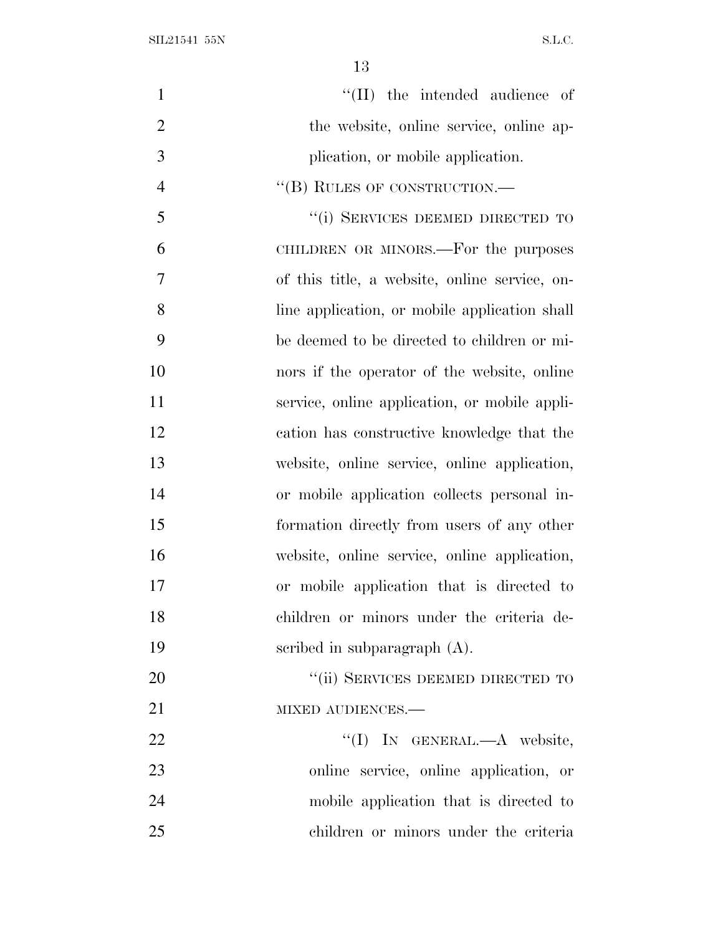$\text{SIL21541 55N} \tag{S.L.C.}$ 

| $\mathbf{1}$   | "(II) the intended audience of                |
|----------------|-----------------------------------------------|
| $\overline{2}$ | the website, online service, online ap-       |
| 3              | plication, or mobile application.             |
| $\overline{4}$ | "(B) RULES OF CONSTRUCTION.—                  |
| 5              | "(i) SERVICES DEEMED DIRECTED TO              |
| 6              | CHILDREN OR MINORS.—For the purposes          |
| 7              | of this title, a website, online service, on- |
| 8              | line application, or mobile application shall |
| 9              | be deemed to be directed to children or mi-   |
| 10             | nors if the operator of the website, online   |
| 11             | service, online application, or mobile appli- |
| 12             | cation has constructive knowledge that the    |
| 13             | website, online service, online application,  |
| 14             | or mobile application collects personal in-   |
| 15             | formation directly from users of any other    |
| 16             | website, online service, online application,  |
| 17             | or mobile application that is directed to     |
| 18             | children or minors under the criteria de-     |
| 19             | scribed in subparagraph $(A)$ .               |
| 20             | "(ii) SERVICES DEEMED DIRECTED TO             |
| 21             | MIXED AUDIENCES.-                             |
| 22             | "(I) IN GENERAL.—A website,                   |
| 23             | online service, online application, or        |
| 24             | mobile application that is directed to        |
| 25             | children or minors under the criteria         |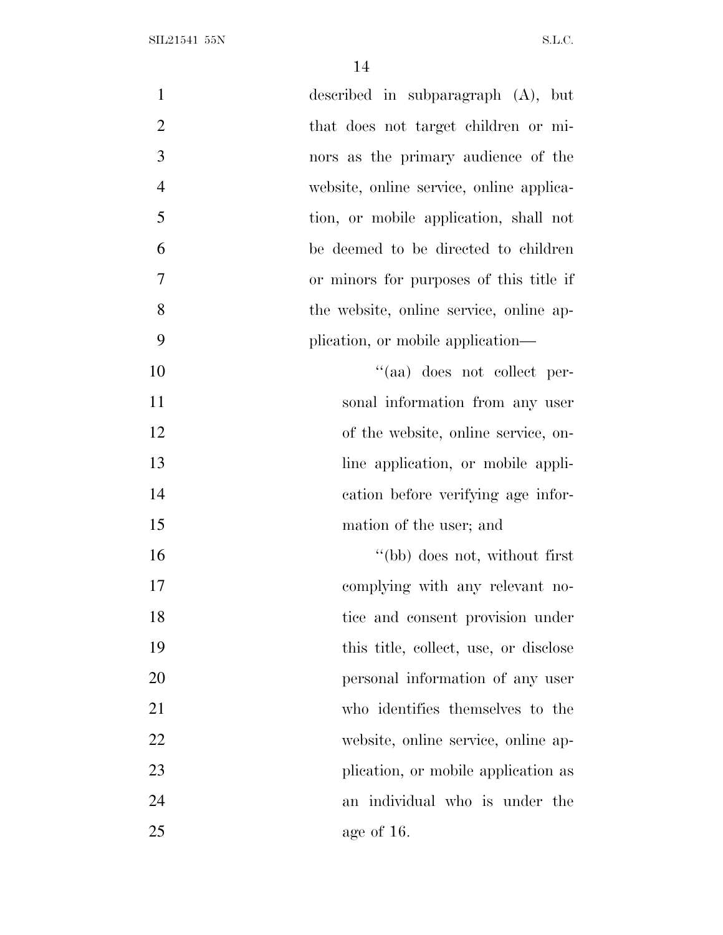| $\mathbf{1}$   | described in subparagraph (A), but       |
|----------------|------------------------------------------|
| $\overline{2}$ | that does not target children or mi-     |
| 3              | nors as the primary audience of the      |
| $\overline{4}$ | website, online service, online applica- |
| 5              | tion, or mobile application, shall not   |
| 6              | be deemed to be directed to children     |
| 7              | or minors for purposes of this title if  |
| 8              | the website, online service, online ap-  |
| 9              | plication, or mobile application—        |
| 10             | "(aa) does not collect per-              |
| 11             | sonal information from any user          |
| 12             | of the website, online service, on-      |
| 13             | line application, or mobile appli-       |
| 14             | cation before verifying age infor-       |
| 15             | mation of the user; and                  |
| 16             | "(bb) does not, without first            |
| 17             | complying with any relevant no-          |
| 18             | tice and consent provision under         |
| 19             | this title, collect, use, or disclose    |
| 20             | personal information of any user         |
| 21             | who identifies themselves to the         |
| 22             | website, online service, online ap-      |
| 23             | plication, or mobile application as      |
| 24             | an individual who is under the           |
| 25             | age of 16.                               |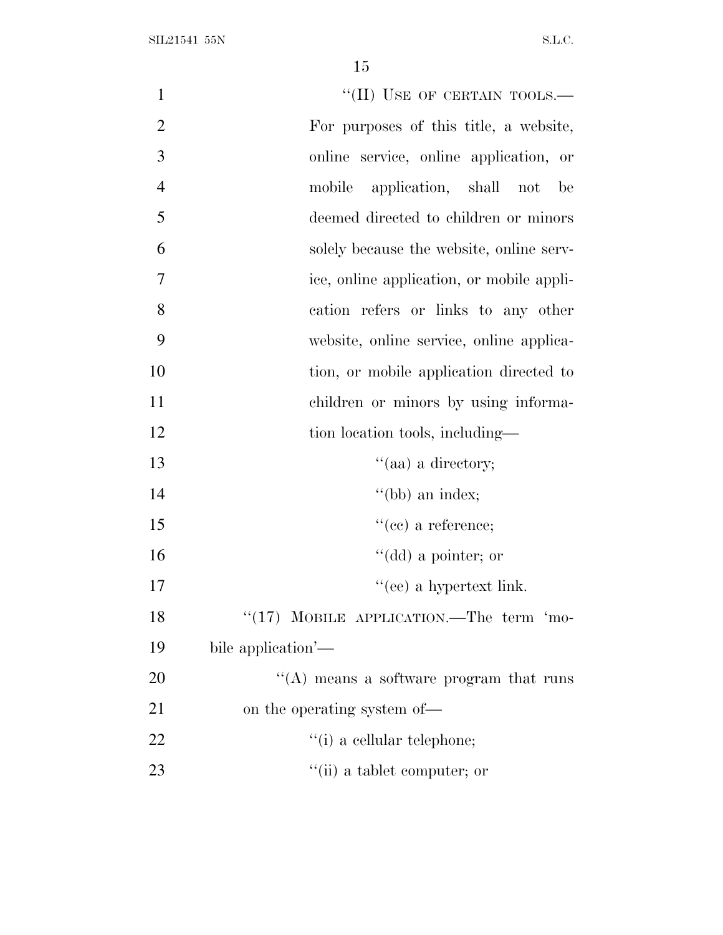| $\mathbf{1}$   | "(II) USE OF CERTAIN TOOLS.-                |
|----------------|---------------------------------------------|
| $\overline{2}$ | For purposes of this title, a website,      |
| 3              | online service, online application, or      |
| $\overline{4}$ | application, shall not<br>mobile<br>be      |
| 5              | deemed directed to children or minors       |
| 6              | solely because the website, online serv-    |
| 7              | ice, online application, or mobile appli-   |
| 8              | cation refers or links to any other         |
| 9              | website, online service, online applica-    |
| 10             | tion, or mobile application directed to     |
| 11             | children or minors by using informa-        |
| 12             | tion location tools, including—             |
| 13             | "(aa) a directory;                          |
| 14             | $"$ (bb) an index;                          |
| 15             | $``(ce)$ a reference;                       |
| 16             | "(dd) a pointer; or                         |
| 17             | "(ee) a hypertext link.                     |
| 18             | "(17) MOBILE APPLICATION.—The term 'mo-     |
| 19             | bile application'-                          |
| 20             | $\lq\lq$ means a software program that runs |
| 21             | on the operating system of—                 |
| 22             | $f(i)$ a cellular telephone;                |
| 23             | "(ii) a tablet computer; or                 |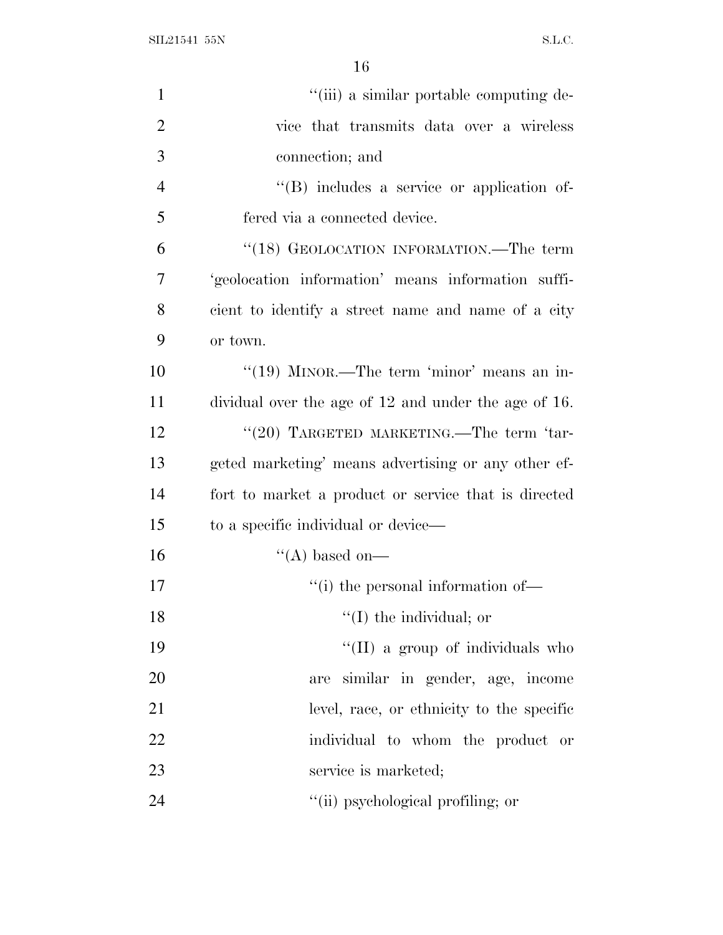SIL21541 55N S.L.C.

| $\mathbf{1}$   | "(iii) a similar portable computing de-              |
|----------------|------------------------------------------------------|
| $\overline{2}$ | vice that transmits data over a wireless             |
| 3              | connection; and                                      |
| $\overline{4}$ | $\lq\lq$ includes a service or application of-       |
| 5              | fered via a connected device.                        |
| 6              | "(18) GEOLOCATION INFORMATION.—The term              |
| 7              | 'geolocation information' means information suffi-   |
| 8              | cient to identify a street name and name of a city   |
| 9              | or town.                                             |
| 10             | "(19) MINOR.—The term 'minor' means an in-           |
| 11             | dividual over the age of 12 and under the age of 16. |
| 12             | "(20) TARGETED MARKETING.—The term 'tar-             |
| 13             | geted marketing' means advertising or any other ef-  |
| 14             | fort to market a product or service that is directed |
| 15             | to a specific individual or device—                  |
| 16             | "(A) based on—                                       |
| 17             | "(i) the personal information of—                    |
| 18             | $\lq\lq$ (I) the individual; or                      |
| 19             | "(II) a group of individuals who                     |
| 20             | are similar in gender, age, income                   |
| 21             | level, race, or ethnicity to the specific            |
| <u>22</u>      | individual to whom the product or                    |
| 23             | service is marketed;                                 |
| 24             | "(ii) psychological profiling; or                    |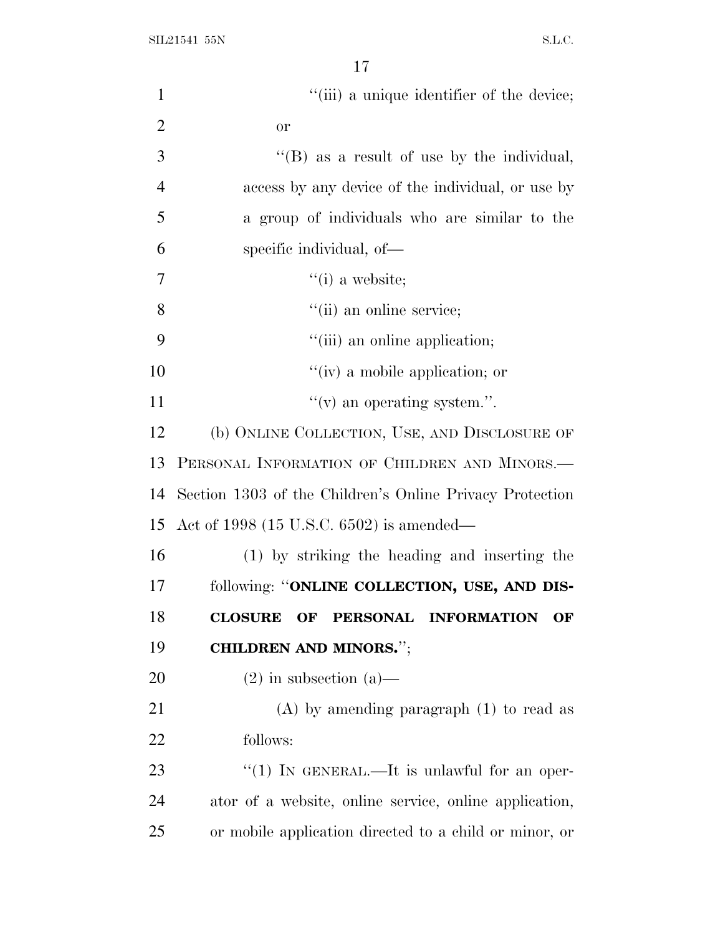| $\mathbf{1}$   | "(iii) a unique identifier of the device;                |
|----------------|----------------------------------------------------------|
| $\overline{2}$ | <b>or</b>                                                |
| 3              | $\lq\lq$ (B) as a result of use by the individual,       |
| $\overline{4}$ | access by any device of the individual, or use by        |
| 5              | a group of individuals who are similar to the            |
| 6              | specific individual, of-                                 |
| 7              | $``(i)$ a website;                                       |
| 8              | "(ii) an online service;                                 |
| 9              | "(iii) an online application;                            |
| 10             | $``(iv)$ a mobile application; or                        |
| 11             | $f'(v)$ an operating system.".                           |
| 12             | (b) ONLINE COLLECTION, USE, AND DISCLOSURE OF            |
| 13             | PERSONAL INFORMATION OF CHILDREN AND MINORS.-            |
| 14             | Section 1303 of the Children's Online Privacy Protection |
| 15             | Act of 1998 (15 U.S.C. 6502) is amended—                 |
| 16             | (1) by striking the heading and inserting the            |
| 17             | following: "ONLINE COLLECTION, USE, AND DIS-             |
| 18             | PERSONAL INFORMATION<br><b>CLOSURE</b><br>OF<br>OF       |
| 19             | <b>CHILDREN AND MINORS."</b> ;                           |
| 20             | $(2)$ in subsection $(a)$ —                              |
| 21             | $(A)$ by amending paragraph $(1)$ to read as             |
| 22             | follows:                                                 |
| 23             | "(1) IN GENERAL.—It is unlawful for an oper-             |
| 24             | ator of a website, online service, online application,   |
| 25             | or mobile application directed to a child or minor, or   |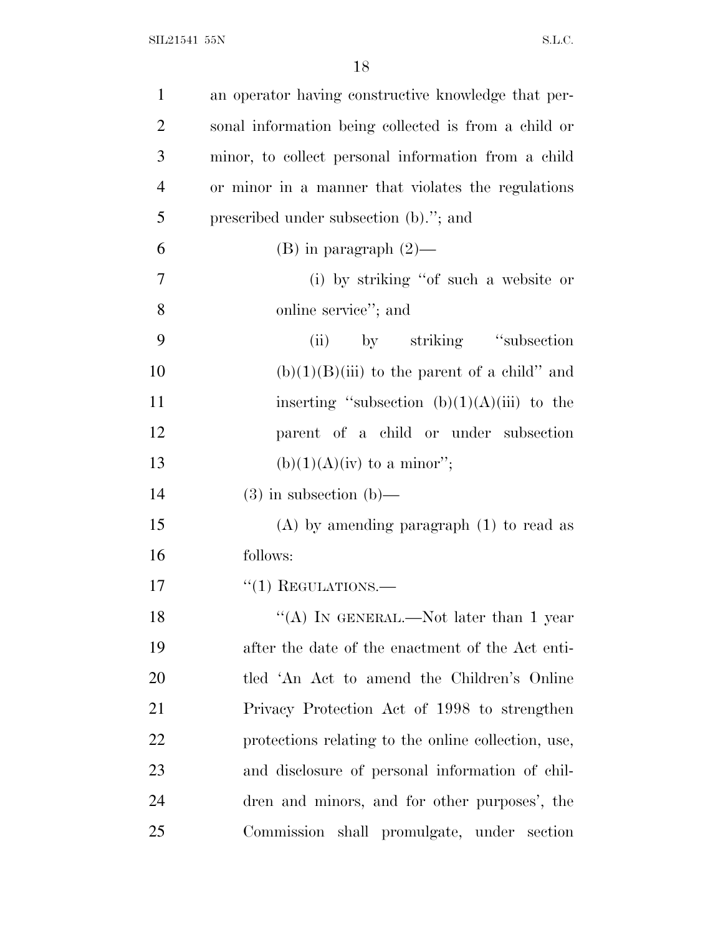| $\mathbf{1}$   | an operator having constructive knowledge that per-  |
|----------------|------------------------------------------------------|
| $\overline{2}$ | sonal information being collected is from a child or |
| 3              | minor, to collect personal information from a child  |
| $\overline{4}$ | or minor in a manner that violates the regulations   |
| 5              | prescribed under subsection (b)."; and               |
| 6              | $(B)$ in paragraph $(2)$ —                           |
| 7              | (i) by striking "of such a website or                |
| 8              | online service"; and                                 |
| 9              | by striking "subsection"<br>(ii)                     |
| 10             | $(b)(1)(B)(iii)$ to the parent of a child" and       |
| 11             | inserting "subsection $(b)(1)(A)(iii)$ to the        |
| 12             | parent of a child or under subsection                |
| 13             | $(b)(1)(A)(iv)$ to a minor";                         |
| 14             | $(3)$ in subsection $(b)$ —                          |
| 15             | $(A)$ by amending paragraph $(1)$ to read as         |
| 16             | follows:                                             |
| 17             | $\cdot\cdot(1)$ REGULATIONS.—                        |
| 18             | "(A) IN GENERAL.—Not later than 1 year               |
| 19             | after the date of the enactment of the Act enti-     |
| 20             | tled 'An Act to amend the Children's Online          |
| 21             | Privacy Protection Act of 1998 to strengthen         |
| 22             | protections relating to the online collection, use,  |
| 23             | and disclosure of personal information of chil-      |
| 24             | dren and minors, and for other purposes', the        |
| 25             | Commission shall promulgate, under section           |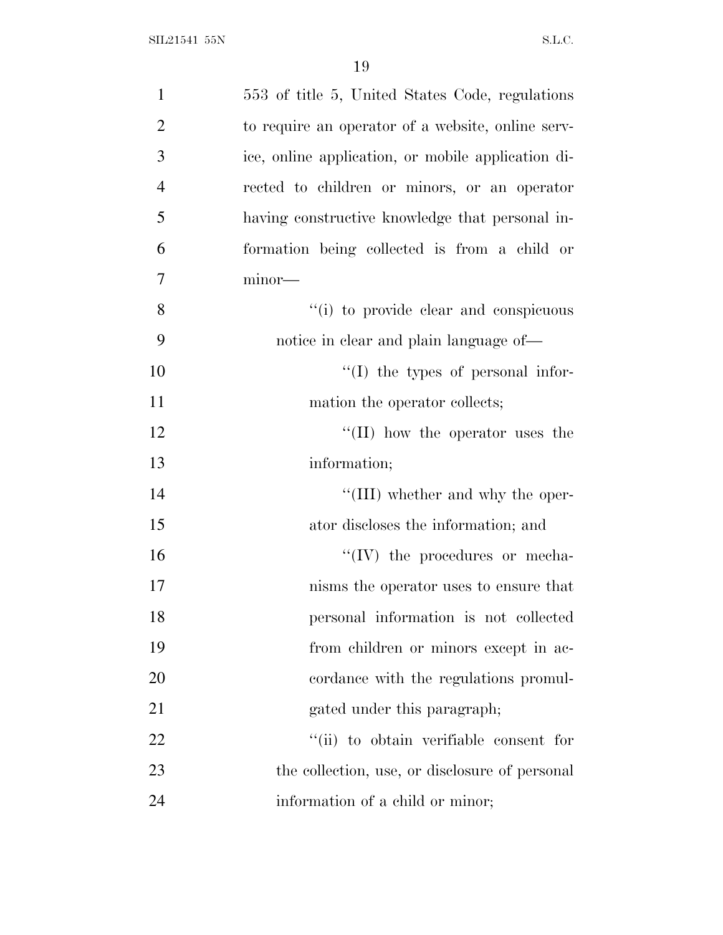| $\mathbf{1}$   | 553 of title 5, United States Code, regulations    |
|----------------|----------------------------------------------------|
| $\overline{2}$ | to require an operator of a website, online serv-  |
| 3              | ice, online application, or mobile application di- |
| $\overline{4}$ | rected to children or minors, or an operator       |
| 5              | having constructive knowledge that personal in-    |
| 6              | formation being collected is from a child or       |
| 7              | minor-                                             |
| 8              | "(i) to provide clear and conspicuous              |
| 9              | notice in clear and plain language of—             |
| 10             | $\lq\lq$ (I) the types of personal infor-          |
| 11             | mation the operator collects;                      |
| 12             | $\lq\lq$ (II) how the operator uses the            |
| 13             | information;                                       |
| 14             | "(III) whether and why the oper-                   |
| 15             | ator discloses the information; and                |
| 16             | $\lq\lq (IV)$ the procedures or mecha-             |
| 17             | nisms the operator uses to ensure that             |
| 18             | personal information is not collected              |
| 19             | from children or minors except in ac-              |
| 20             | cordance with the regulations promul-              |
| 21             | gated under this paragraph;                        |
| 22             | "(ii) to obtain verifiable consent for             |
| 23             | the collection, use, or disclosure of personal     |
| 24             | information of a child or minor;                   |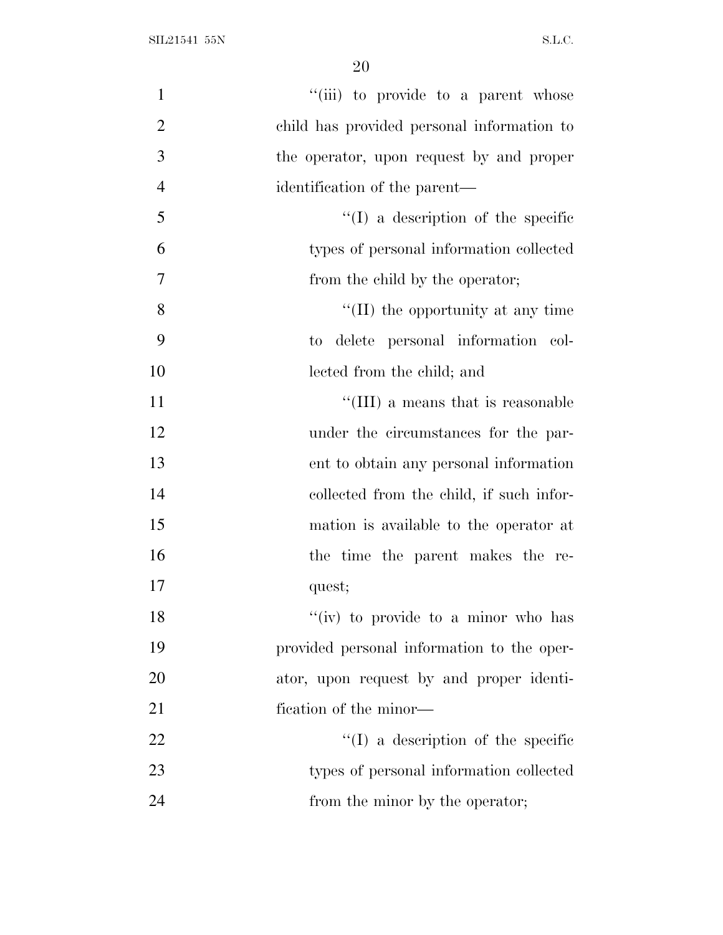| "(iii) to provide to a parent whose<br>$\mathbf{1}$<br>$\overline{2}$<br>child has provided personal information to<br>3<br>the operator, upon request by and proper<br>$\overline{4}$<br>identification of the parent—<br>5<br>$\lq\lq$ (I) a description of the specific<br>6<br>types of personal information collected<br>$\overline{7}$<br>from the child by the operator;<br>8<br>$\lq\lq$ (II) the opportunity at any time<br>9<br>to delete personal information col-<br>10<br>lected from the child; and<br>11<br>"(III) a means that is reasonable<br>12<br>under the circumstances for the par-<br>13<br>ent to obtain any personal information<br>14<br>collected from the child, if such infor-<br>15<br>mation is available to the operator at<br>16<br>the time the parent makes the re-<br>17<br>quest;<br>"(iv) to provide to a minor who has<br>18<br>19<br>provided personal information to the oper-<br>20<br>ator, upon request by and proper identi-<br>21<br>fication of the minor—<br>22<br>$\lq\lq$ (I) a description of the specific<br>23<br>types of personal information collected<br>24<br>from the minor by the operator; |  |
|----------------------------------------------------------------------------------------------------------------------------------------------------------------------------------------------------------------------------------------------------------------------------------------------------------------------------------------------------------------------------------------------------------------------------------------------------------------------------------------------------------------------------------------------------------------------------------------------------------------------------------------------------------------------------------------------------------------------------------------------------------------------------------------------------------------------------------------------------------------------------------------------------------------------------------------------------------------------------------------------------------------------------------------------------------------------------------------------------------------------------------------------------------|--|
|                                                                                                                                                                                                                                                                                                                                                                                                                                                                                                                                                                                                                                                                                                                                                                                                                                                                                                                                                                                                                                                                                                                                                          |  |
|                                                                                                                                                                                                                                                                                                                                                                                                                                                                                                                                                                                                                                                                                                                                                                                                                                                                                                                                                                                                                                                                                                                                                          |  |
|                                                                                                                                                                                                                                                                                                                                                                                                                                                                                                                                                                                                                                                                                                                                                                                                                                                                                                                                                                                                                                                                                                                                                          |  |
|                                                                                                                                                                                                                                                                                                                                                                                                                                                                                                                                                                                                                                                                                                                                                                                                                                                                                                                                                                                                                                                                                                                                                          |  |
|                                                                                                                                                                                                                                                                                                                                                                                                                                                                                                                                                                                                                                                                                                                                                                                                                                                                                                                                                                                                                                                                                                                                                          |  |
|                                                                                                                                                                                                                                                                                                                                                                                                                                                                                                                                                                                                                                                                                                                                                                                                                                                                                                                                                                                                                                                                                                                                                          |  |
|                                                                                                                                                                                                                                                                                                                                                                                                                                                                                                                                                                                                                                                                                                                                                                                                                                                                                                                                                                                                                                                                                                                                                          |  |
|                                                                                                                                                                                                                                                                                                                                                                                                                                                                                                                                                                                                                                                                                                                                                                                                                                                                                                                                                                                                                                                                                                                                                          |  |
|                                                                                                                                                                                                                                                                                                                                                                                                                                                                                                                                                                                                                                                                                                                                                                                                                                                                                                                                                                                                                                                                                                                                                          |  |
|                                                                                                                                                                                                                                                                                                                                                                                                                                                                                                                                                                                                                                                                                                                                                                                                                                                                                                                                                                                                                                                                                                                                                          |  |
|                                                                                                                                                                                                                                                                                                                                                                                                                                                                                                                                                                                                                                                                                                                                                                                                                                                                                                                                                                                                                                                                                                                                                          |  |
|                                                                                                                                                                                                                                                                                                                                                                                                                                                                                                                                                                                                                                                                                                                                                                                                                                                                                                                                                                                                                                                                                                                                                          |  |
|                                                                                                                                                                                                                                                                                                                                                                                                                                                                                                                                                                                                                                                                                                                                                                                                                                                                                                                                                                                                                                                                                                                                                          |  |
|                                                                                                                                                                                                                                                                                                                                                                                                                                                                                                                                                                                                                                                                                                                                                                                                                                                                                                                                                                                                                                                                                                                                                          |  |
|                                                                                                                                                                                                                                                                                                                                                                                                                                                                                                                                                                                                                                                                                                                                                                                                                                                                                                                                                                                                                                                                                                                                                          |  |
|                                                                                                                                                                                                                                                                                                                                                                                                                                                                                                                                                                                                                                                                                                                                                                                                                                                                                                                                                                                                                                                                                                                                                          |  |
|                                                                                                                                                                                                                                                                                                                                                                                                                                                                                                                                                                                                                                                                                                                                                                                                                                                                                                                                                                                                                                                                                                                                                          |  |
|                                                                                                                                                                                                                                                                                                                                                                                                                                                                                                                                                                                                                                                                                                                                                                                                                                                                                                                                                                                                                                                                                                                                                          |  |
|                                                                                                                                                                                                                                                                                                                                                                                                                                                                                                                                                                                                                                                                                                                                                                                                                                                                                                                                                                                                                                                                                                                                                          |  |
|                                                                                                                                                                                                                                                                                                                                                                                                                                                                                                                                                                                                                                                                                                                                                                                                                                                                                                                                                                                                                                                                                                                                                          |  |
|                                                                                                                                                                                                                                                                                                                                                                                                                                                                                                                                                                                                                                                                                                                                                                                                                                                                                                                                                                                                                                                                                                                                                          |  |
|                                                                                                                                                                                                                                                                                                                                                                                                                                                                                                                                                                                                                                                                                                                                                                                                                                                                                                                                                                                                                                                                                                                                                          |  |
|                                                                                                                                                                                                                                                                                                                                                                                                                                                                                                                                                                                                                                                                                                                                                                                                                                                                                                                                                                                                                                                                                                                                                          |  |
|                                                                                                                                                                                                                                                                                                                                                                                                                                                                                                                                                                                                                                                                                                                                                                                                                                                                                                                                                                                                                                                                                                                                                          |  |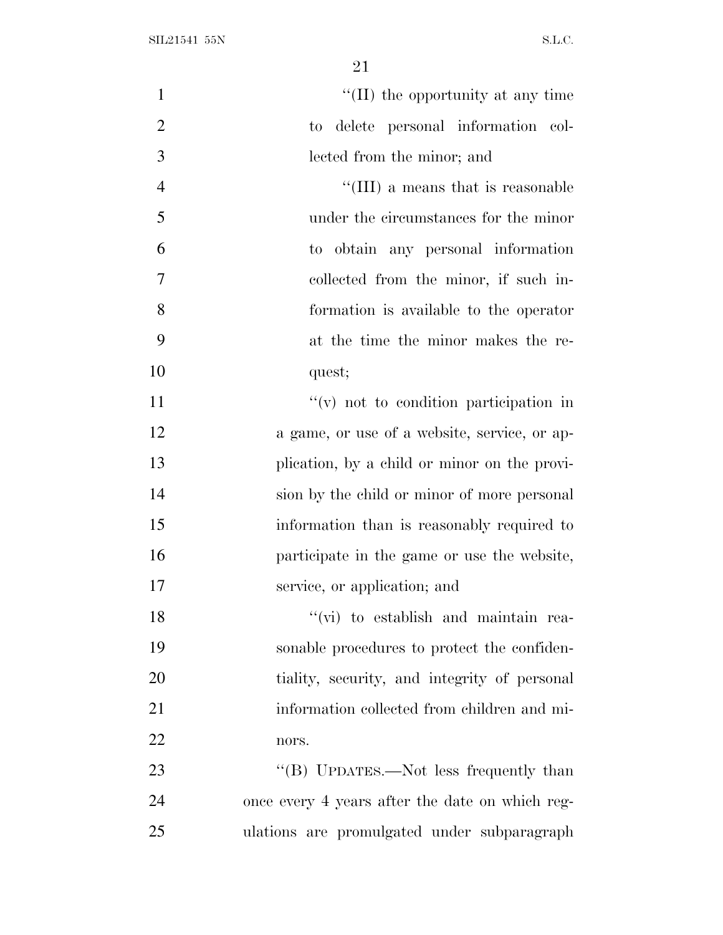| $\mathbf{1}$   | $\lq$ (II) the opportunity at any time                     |
|----------------|------------------------------------------------------------|
| $\overline{2}$ | delete personal information col-<br>$\mathop{\mathrm{to}}$ |
| 3              | lected from the minor; and                                 |
| $\overline{4}$ | "(III) a means that is reasonable                          |
| 5              | under the circumstances for the minor                      |
| 6              | to obtain any personal information                         |
| 7              | collected from the minor, if such in-                      |
| 8              | formation is available to the operator                     |
| 9              | at the time the minor makes the re-                        |
| 10             | quest;                                                     |
| 11             | $f'(v)$ not to condition participation in                  |
| 12             | a game, or use of a website, service, or ap-               |
| 13             | plication, by a child or minor on the provi-               |
| 14             | sion by the child or minor of more personal                |
| 15             | information than is reasonably required to                 |
| 16             | participate in the game or use the website,                |
| 17             | service, or application; and                               |
| 18             | "(vi) to establish and maintain rea-                       |
| 19             | sonable procedures to protect the confiden-                |
| 20             | tiality, security, and integrity of personal               |
| 21             | information collected from children and mi-                |
| 22             | nors.                                                      |
| 23             | "(B) UPDATES.—Not less frequently than                     |
| 24             | once every 4 years after the date on which reg-            |
| 25             | ulations are promulgated under subparagraph                |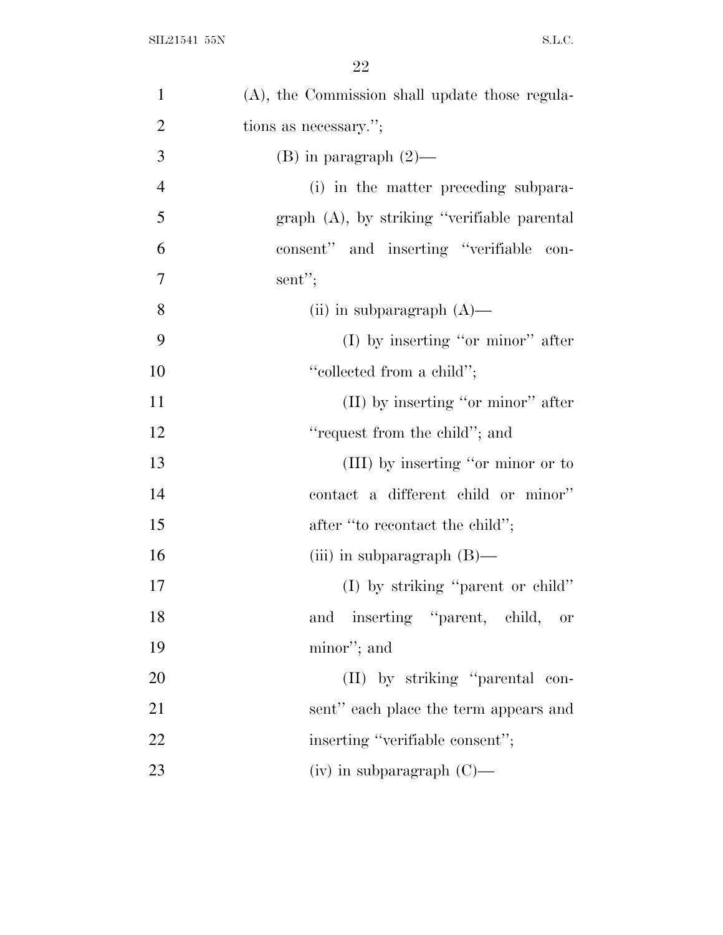| $\mathbf{1}$   | (A), the Commission shall update those regula- |
|----------------|------------------------------------------------|
| $\overline{2}$ | tions as necessary.";                          |
| 3              | (B) in paragraph $(2)$ —                       |
| $\overline{4}$ | (i) in the matter preceding subpara-           |
| 5              | $graph$ (A), by striking "verifiable parental  |
| 6              | consent" and inserting "verifiable con-        |
| $\tau$         | sent";                                         |
| 8              | (ii) in subparagraph $(A)$ —                   |
| 9              | $(I)$ by inserting "or minor" after            |
| 10             | "collected from a child";                      |
| 11             | $(II)$ by inserting "or minor" after           |
| 12             | "request from the child"; and                  |
| 13             | (III) by inserting "or minor or to             |
| 14             | contact a different child or minor"            |
| 15             | after "to recontact the child";                |
| 16             | (iii) in subparagraph $(B)$ —                  |
| 17             | (I) by striking "parent or child"              |
| 18             | inserting "parent, child, or<br>and            |
| 19             | minor"; and                                    |
| 20             | (II) by striking "parental con-                |
| 21             | sent" each place the term appears and          |
| 22             | inserting "verifiable consent";                |
| 23             | $(iv)$ in subparagraph $(C)$ —                 |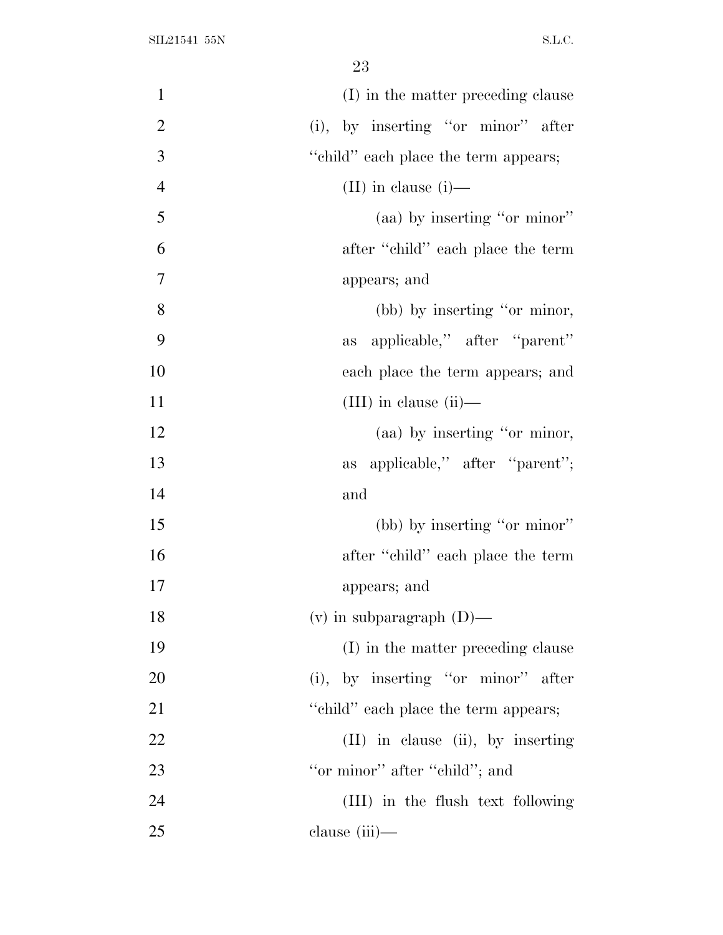| $\mathbf{1}$   | (I) in the matter preceding clause    |
|----------------|---------------------------------------|
| $\overline{2}$ | (i), by inserting "or minor" after    |
| 3              | "child" each place the term appears;  |
| $\overline{4}$ | $(II)$ in clause $(i)$ —              |
| 5              | (aa) by inserting "or minor"          |
| 6              | after "child" each place the term     |
| 7              | appears; and                          |
| 8              | (bb) by inserting "or minor,          |
| 9              | applicable," after "parent"<br>as     |
| 10             | each place the term appears; and      |
| 11             | $(III)$ in clause $(ii)$ —            |
| 12             | (aa) by inserting "or minor,          |
| 13             | as applicable," after "parent";       |
| 14             | and                                   |
| 15             | (bb) by inserting "or minor"          |
| 16             | after "child" each place the term     |
| 17             | appears; and                          |
| 18             | $(v)$ in subparagraph $(D)$ —         |
| 19             | (I) in the matter preceding clause    |
| 20             | $(i)$ , by inserting "or minor" after |
| 21             | "child" each place the term appears;  |
| 22             | $(II)$ in clause (ii), by inserting   |
| 23             | "or minor" after "child"; and         |
| 24             | (III) in the flush text following     |
| 25             | clause (iii)-                         |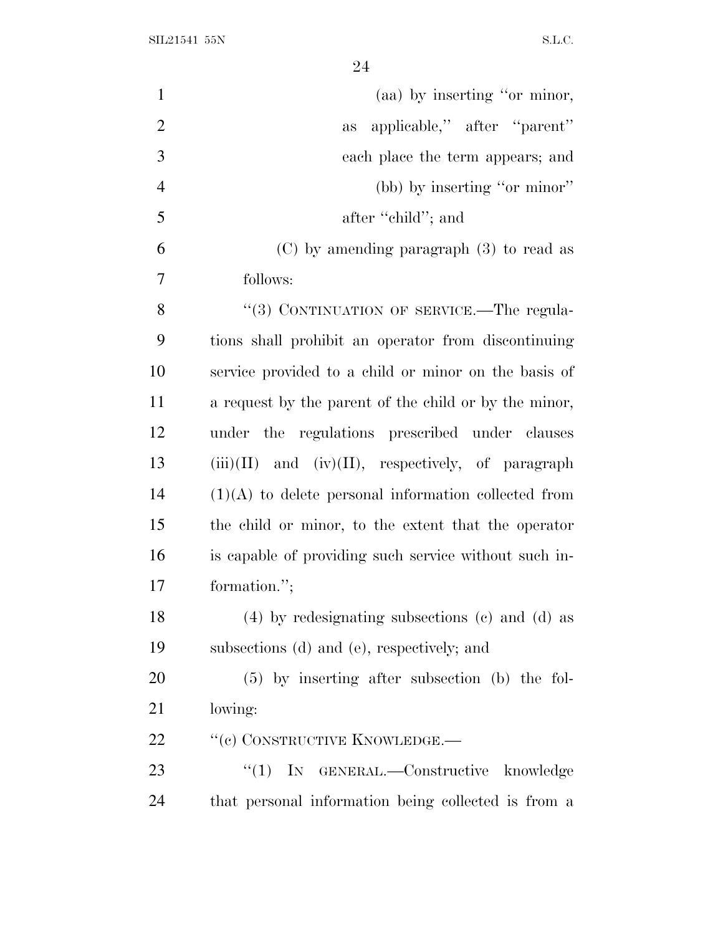| $\mathbf{1}$   | (aa) by inserting "or minor,                            |
|----------------|---------------------------------------------------------|
| $\overline{2}$ | applicable," after "parent"<br>as                       |
| 3              | each place the term appears; and                        |
| $\overline{4}$ | (bb) by inserting "or minor"                            |
| 5              | after "child"; and                                      |
| 6              | $(C)$ by amending paragraph $(3)$ to read as            |
| 7              | follows:                                                |
| 8              | "(3) CONTINUATION OF SERVICE.—The regula-               |
| 9              | tions shall prohibit an operator from discontinuing     |
| 10             | service provided to a child or minor on the basis of    |
| 11             | a request by the parent of the child or by the minor,   |
| 12             | under the regulations prescribed under clauses          |
| 13             | $(iii)(II)$ and $(iv)(II)$ , respectively, of paragraph |
| 14             | $(1)(A)$ to delete personal information collected from  |
| 15             | the child or minor, to the extent that the operator     |
| 16             | is capable of providing such service without such in-   |
| 17             | formation.";                                            |
| 18             | $(4)$ by redesignating subsections $(e)$ and $(d)$ as   |
| 19             | subsections (d) and (e), respectively; and              |
| 20             | $(5)$ by inserting after subsection (b) the fol-        |
| 21             | lowing:                                                 |
| 22             | "(c) CONSTRUCTIVE KNOWLEDGE.—                           |
| 23             | "(1) IN GENERAL.—Constructive knowledge                 |
| 24             | that personal information being collected is from a     |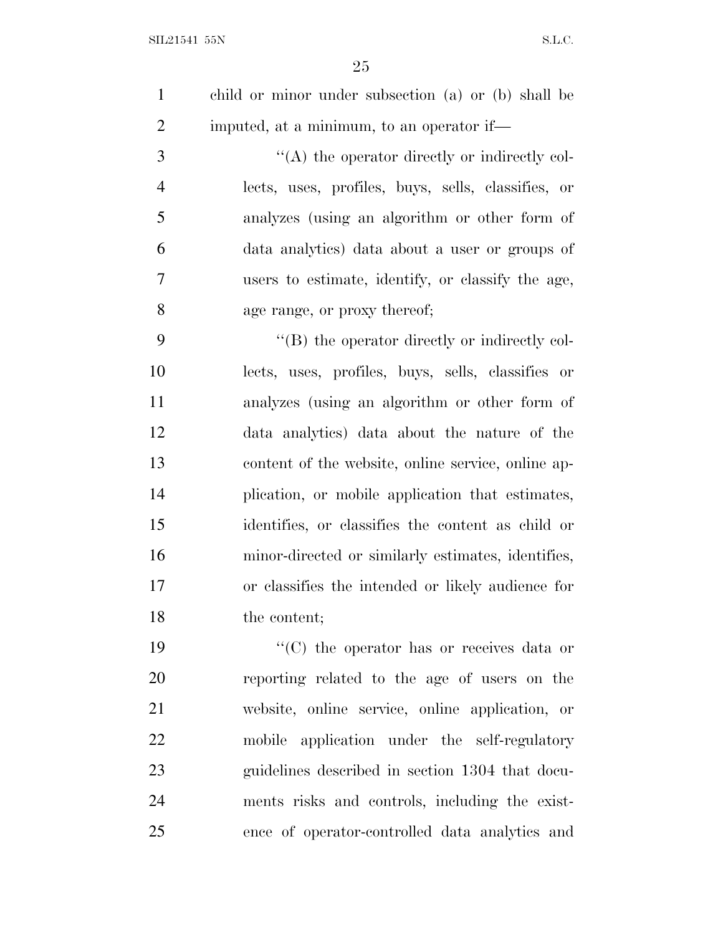child or minor under subsection (a) or (b) shall be imputed, at a minimum, to an operator if—

 $\langle (A)$  the operator directly or indirectly col- lects, uses, profiles, buys, sells, classifies, or analyzes (using an algorithm or other form of data analytics) data about a user or groups of users to estimate, identify, or classify the age, age range, or proxy thereof;

 ''(B) the operator directly or indirectly col- lects, uses, profiles, buys, sells, classifies or analyzes (using an algorithm or other form of data analytics) data about the nature of the content of the website, online service, online ap- plication, or mobile application that estimates, identifies, or classifies the content as child or minor-directed or similarly estimates, identifies, or classifies the intended or likely audience for the content;

 $\langle \text{C} \rangle$  the operator has or receives data or reporting related to the age of users on the website, online service, online application, or mobile application under the self-regulatory guidelines described in section 1304 that docu- ments risks and controls, including the exist-ence of operator-controlled data analytics and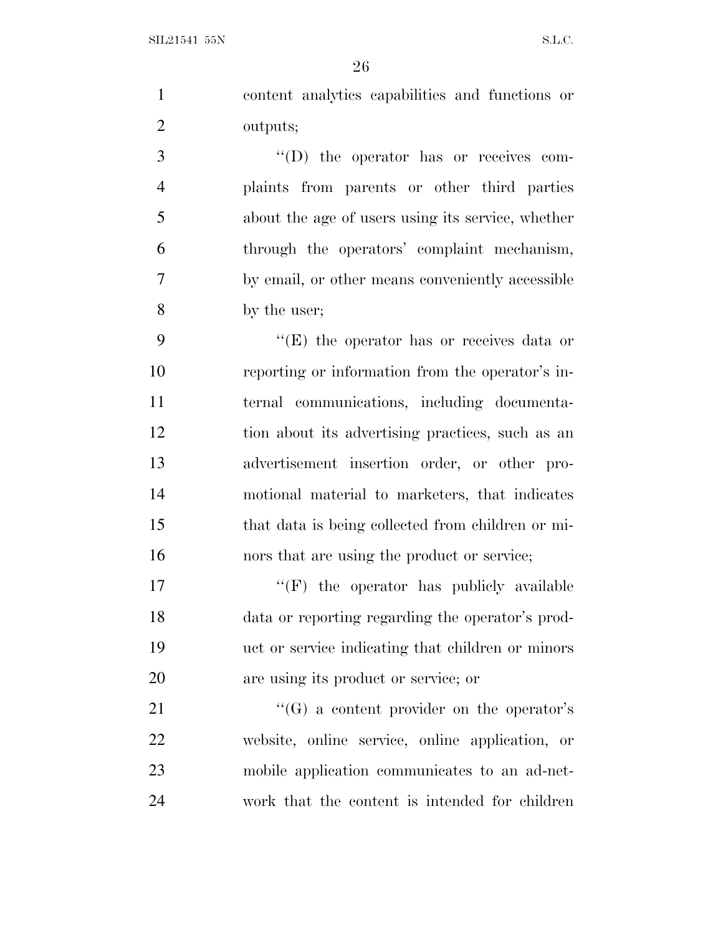content analytics capabilities and functions or outputs; 3  $\langle (D)$  the operator has or receives com-

 plaints from parents or other third parties about the age of users using its service, whether through the operators' complaint mechanism, by email, or other means conveniently accessible by the user;

9 ''(E) the operator has or receives data or reporting or information from the operator's in- ternal communications, including documenta- tion about its advertising practices, such as an advertisement insertion order, or other pro- motional material to marketers, that indicates that data is being collected from children or mi-nors that are using the product or service;

 $\langle f(\mathbf{F}) \rangle$  the operator has publicly available data or reporting regarding the operator's prod- uct or service indicating that children or minors are using its product or service; or

21 ''(G) a content provider on the operator's website, online service, online application, or mobile application communicates to an ad-net-work that the content is intended for children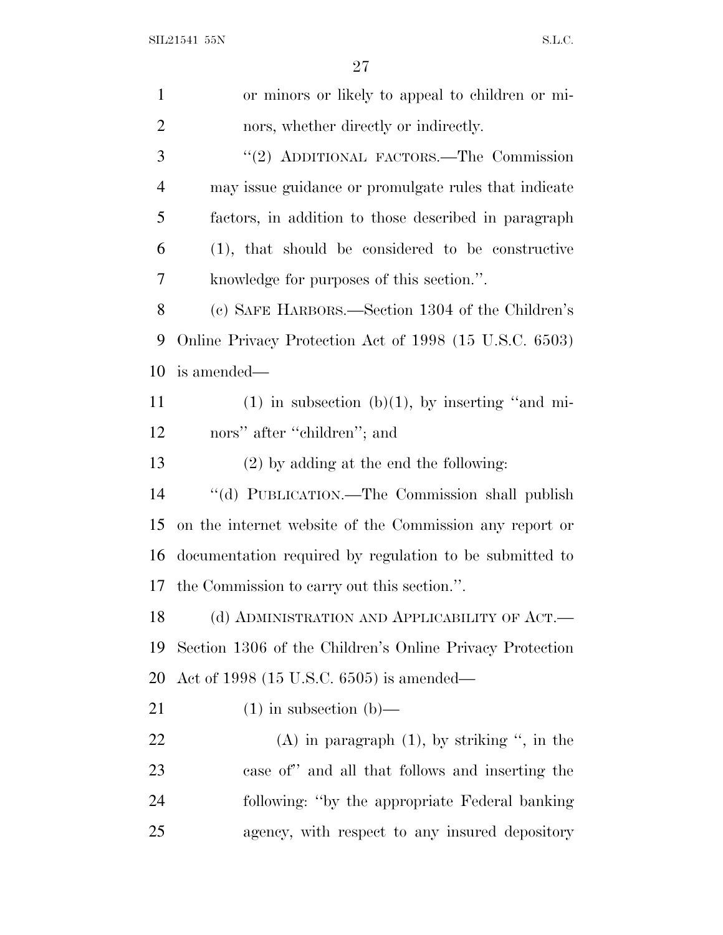SIL21541 55N S.L.C.

| $\mathbf{1}$   | or minors or likely to appeal to children or mi-         |
|----------------|----------------------------------------------------------|
| $\overline{2}$ | nors, whether directly or indirectly.                    |
| 3              | "(2) ADDITIONAL FACTORS.—The Commission                  |
| $\overline{4}$ | may issue guidance or promulgate rules that indicate     |
| 5              | factors, in addition to those described in paragraph     |
| 6              | $(1)$ , that should be considered to be constructive     |
| 7              | knowledge for purposes of this section.".                |
| $8\,$          | (c) SAFE HARBORS.—Section 1304 of the Children's         |
| 9              | Online Privacy Protection Act of 1998 (15 U.S.C. 6503)   |
| 10             | is amended—                                              |
| 11             | $(1)$ in subsection (b) $(1)$ , by inserting "and mi-    |
| 12             | nors" after "children"; and                              |
| 13             | $(2)$ by adding at the end the following:                |
| 14             | "(d) PUBLICATION.—The Commission shall publish           |
| 15             | on the internet website of the Commission any report or  |
| 16             | documentation required by regulation to be submitted to  |
| 17             | the Commission to carry out this section.".              |
| 18             | (d) ADMINISTRATION AND APPLICABILITY OF ACT.—            |
| 19             | Section 1306 of the Children's Online Privacy Protection |
| 20             | Act of 1998 $(15 \text{ U.S.C. } 6505)$ is amended—      |
| 21             | $(1)$ in subsection $(b)$ —                              |
| 22             | (A) in paragraph $(1)$ , by striking ", in the           |
| 23             | case of" and all that follows and inserting the          |
| 24             | following: "by the appropriate Federal banking"          |
| 25             | agency, with respect to any insured depository           |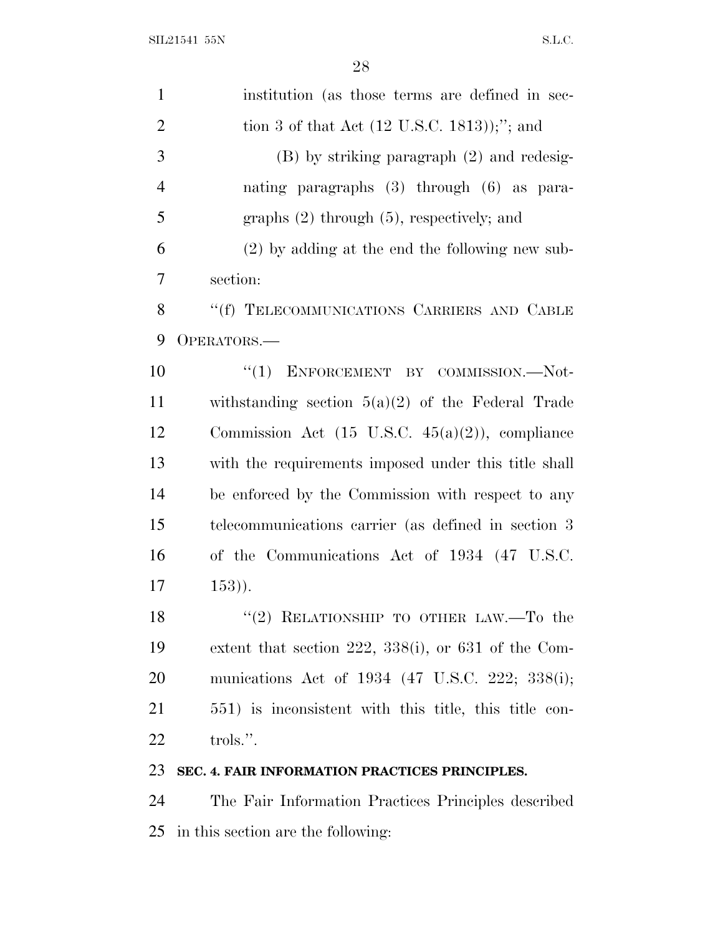| $\mathbf{1}$   | institution (as those terms are defined in sec-             |
|----------------|-------------------------------------------------------------|
| $\overline{2}$ | tion 3 of that Act $(12 \text{ U.S.C. } 1813))$ ;"; and     |
| 3              | $(B)$ by striking paragraph $(2)$ and redesig-              |
| $\overline{4}$ | nating paragraphs $(3)$ through $(6)$ as para-              |
| 5              | graphs $(2)$ through $(5)$ , respectively; and              |
| 6              | $(2)$ by adding at the end the following new sub-           |
| 7              | section:                                                    |
| 8              | "(f) TELECOMMUNICATIONS CARRIERS AND CABLE                  |
| 9              | OPERATORS.-                                                 |
| 10             | "(1) ENFORCEMENT BY COMMISSION.-Not-                        |
| 11             | withstanding section $5(a)(2)$ of the Federal Trade         |
| 12             | Commission Act $(15 \text{ U.S.C. } 45(a)(2))$ , compliance |
| 13             | with the requirements imposed under this title shall        |
| 14             | be enforced by the Commission with respect to any           |
| 15             | telecommunications carrier (as defined in section 3         |
| 16             | of the Communications Act of 1934 (47 U.S.C.                |
| 17             | $(153)$ .                                                   |
| 18             | "(2) RELATIONSHIP TO OTHER LAW.—To the                      |
| 19             | extent that section 222, 338(i), or 631 of the Com-         |
| <b>20</b>      | munications Act of 1934 (47 U.S.C. 222; 338(i);             |
| 21             | 551) is inconsistent with this title, this title con-       |
| <u>22</u>      | trols.".                                                    |
| 23             | SEC. 4. FAIR INFORMATION PRACTICES PRINCIPLES.              |
| 24             | The Fair Information Practices Principles described         |

in this section are the following: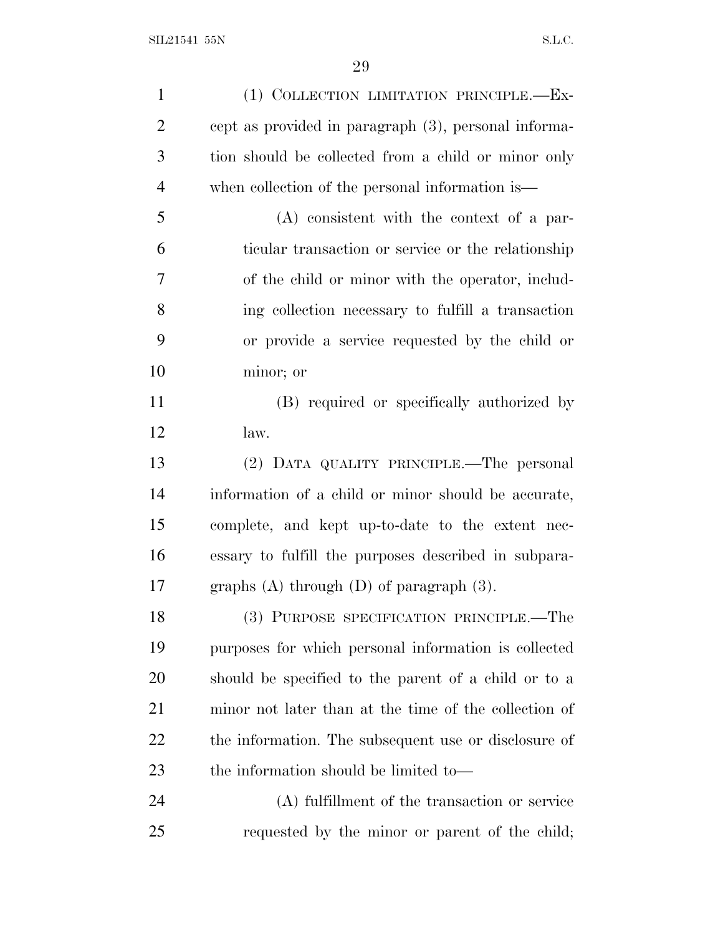| $\mathbf{1}$   | (1) COLLECTION LIMITATION PRINCIPLE.-Ex-              |
|----------------|-------------------------------------------------------|
| $\overline{2}$ | cept as provided in paragraph (3), personal informa-  |
| 3              | tion should be collected from a child or minor only   |
| $\overline{4}$ | when collection of the personal information is—       |
| 5              | $(A)$ consistent with the context of a par-           |
| 6              | ticular transaction or service or the relationship    |
| 7              | of the child or minor with the operator, includ-      |
| 8              | ing collection necessary to fulfill a transaction     |
| 9              | or provide a service requested by the child or        |
| 10             | minor; or                                             |
| 11             | (B) required or specifically authorized by            |
| 12             | law.                                                  |
| 13             | (2) DATA QUALITY PRINCIPLE.—The personal              |
| 14             | information of a child or minor should be accurate,   |
| 15             | complete, and kept up-to-date to the extent nec-      |
| 16             | essary to fulfill the purposes described in subpara-  |
| 17             | graphs $(A)$ through $(D)$ of paragraph $(3)$ .       |
| 18             | (3) PURPOSE SPECIFICATION PRINCIPLE.—The              |
| 19             | purposes for which personal information is collected  |
| 20             | should be specified to the parent of a child or to a  |
| 21             | minor not later than at the time of the collection of |
| 22             | the information. The subsequent use or disclosure of  |
| 23             | the information should be limited to—                 |
| 24             | (A) fulfillment of the transaction or service         |
| 25             | requested by the minor or parent of the child;        |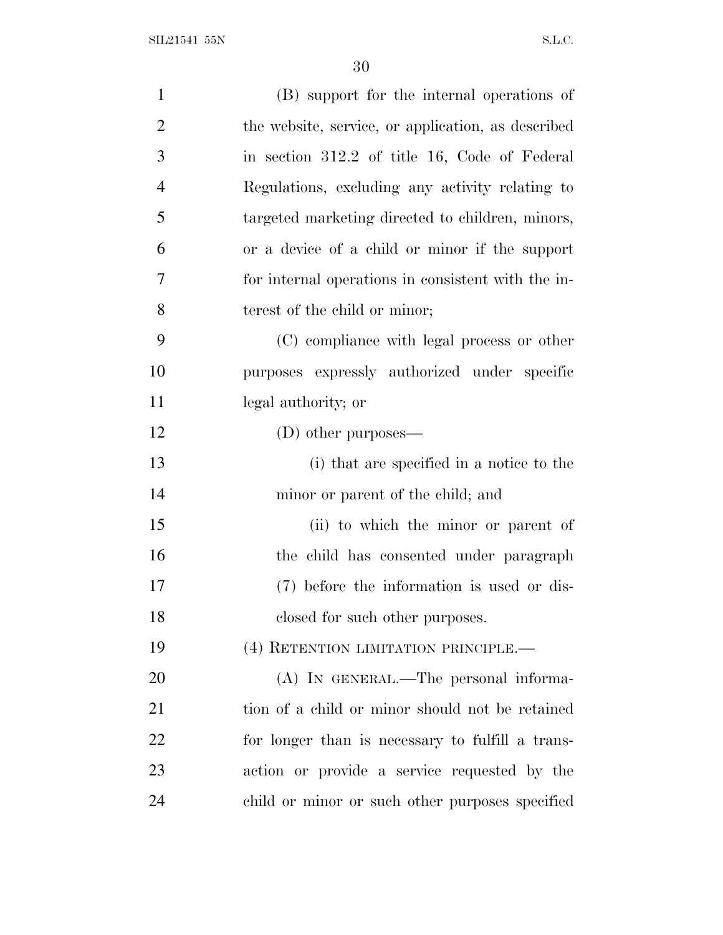| $\mathbf{1}$   | (B) support for the internal operations of         |
|----------------|----------------------------------------------------|
| $\overline{2}$ | the website, service, or application, as described |
| 3              | in section 312.2 of title 16, Code of Federal      |
| $\overline{4}$ | Regulations, excluding any activity relating to    |
| 5              | targeted marketing directed to children, minors,   |
| 6              | or a device of a child or minor if the support     |
| $\tau$         | for internal operations in consistent with the in- |
| 8              | terest of the child or minor;                      |
| 9              | (C) compliance with legal process or other         |
| 10             | purposes expressly authorized under specific       |
| 11             | legal authority; or                                |
| 12             | (D) other purposes—                                |
| 13             | (i) that are specified in a notice to the          |
| 14             | minor or parent of the child; and                  |
| 15             | (ii) to which the minor or parent of               |
| 16             | the child has consented under paragraph            |
| 17             | (7) before the information is used or dis-         |
| 18             | closed for such other purposes.                    |
| 19             | (4) RETENTION LIMITATION PRINCIPLE.—               |
| 20             | (A) IN GENERAL.—The personal informa-              |
| 21             | tion of a child or minor should not be retained    |
| 22             | for longer than is necessary to fulfill a trans-   |
| 23             | action or provide a service requested by the       |
| 24             | child or minor or such other purposes specified    |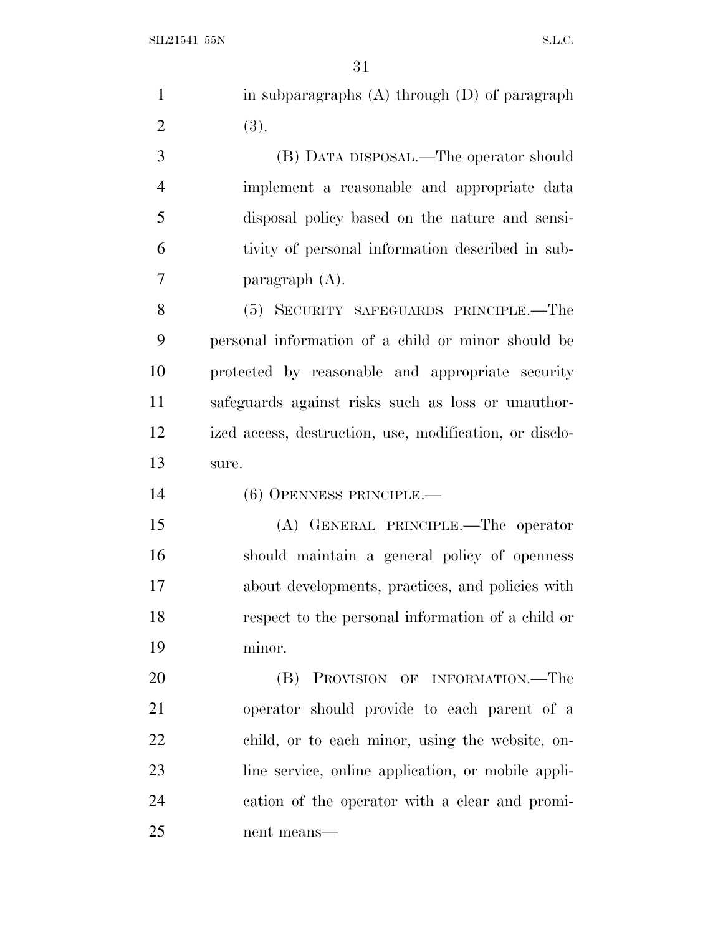|                | 31                                                      |
|----------------|---------------------------------------------------------|
| $\mathbf{1}$   | in subparagraphs $(A)$ through $(D)$ of paragraph       |
| $\overline{2}$ | (3).                                                    |
| 3              | (B) DATA DISPOSAL.—The operator should                  |
| $\overline{4}$ | implement a reasonable and appropriate data             |
| 5              | disposal policy based on the nature and sensi-          |
| 6              | tivity of personal information described in sub-        |
| 7              | paragraph $(A)$ .                                       |
| 8              | (5) SECURITY SAFEGUARDS PRINCIPLE.—The                  |
| 9              | personal information of a child or minor should be      |
| 10             | protected by reasonable and appropriate security        |
| 11             | safeguards against risks such as loss or unauthor-      |
| 12             | ized access, destruction, use, modification, or disclo- |
| 13             | sure.                                                   |
| 14             | $(6)$ OPENNESS PRINCIPLE.—                              |
| 15             | (A) GENERAL PRINCIPLE.—The operator                     |
| 16             | should maintain a general policy of openness            |
| 17             | about developments, practices, and policies with        |
| 18             | respect to the personal information of a child or       |
| 19             | minor.                                                  |
| 20             | PROVISION OF INFORMATION.-The<br>(B)                    |
| 21             | operator should provide to each parent of a             |
| 22             | child, or to each minor, using the website, on-         |
| 23             | line service, online application, or mobile appli-      |

cation of the operator with a clear and promi-

nent means—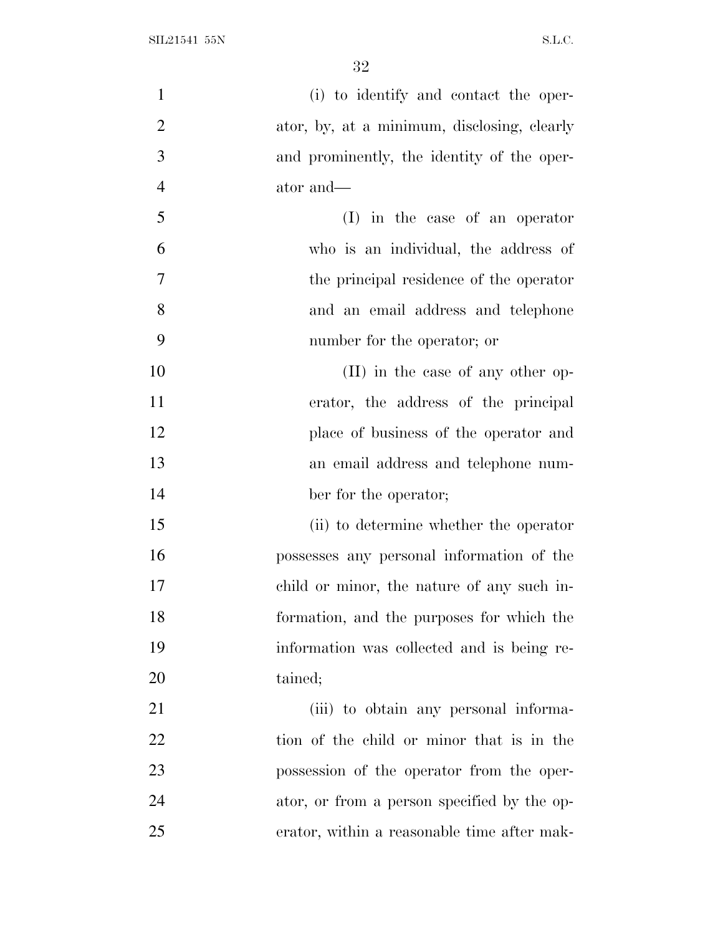| $\mathbf{1}$   | (i) to identify and contact the oper-       |
|----------------|---------------------------------------------|
| $\overline{2}$ | ator, by, at a minimum, disclosing, clearly |
| 3              | and prominently, the identity of the oper-  |
| $\overline{4}$ | ator and—                                   |
| 5              | (I) in the case of an operator              |
| 6              | who is an individual, the address of        |
| $\tau$         | the principal residence of the operator     |
| 8              | and an email address and telephone          |
| 9              | number for the operator; or                 |
| 10             | (II) in the case of any other op-           |
| 11             | erator, the address of the principal        |
| 12             | place of business of the operator and       |
| 13             | an email address and telephone num-         |
| 14             | ber for the operator;                       |
| 15             | (ii) to determine whether the operator      |
| 16             | possesses any personal information of the   |
| 17             | child or minor, the nature of any such in-  |
| 18             | formation, and the purposes for which the   |
| 19             | information was collected and is being re-  |
| 20             | tained;                                     |
| 21             | (iii) to obtain any personal informa-       |
| 22             | tion of the child or minor that is in the   |
| 23             | possession of the operator from the oper-   |
| 24             | ator, or from a person specified by the op- |
| 25             | erator, within a reasonable time after mak- |
|                |                                             |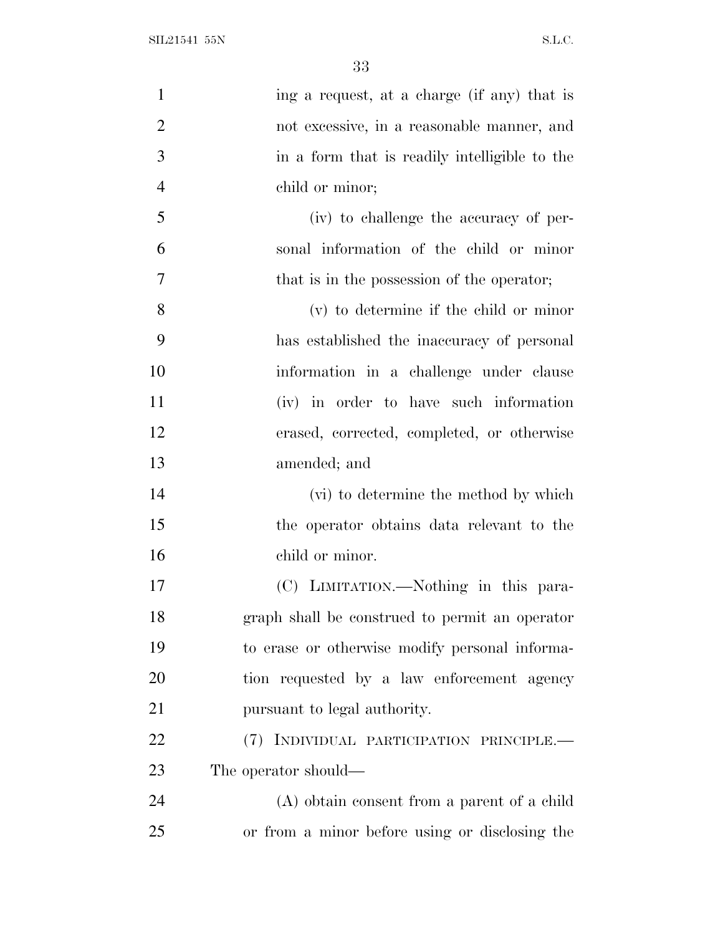SIL21541 55N S.L.C.

| $\mathbf{1}$   | ing a request, at a charge (if any) that is    |
|----------------|------------------------------------------------|
| $\overline{2}$ | not excessive, in a reasonable manner, and     |
| 3              | in a form that is readily intelligible to the  |
| $\overline{4}$ | child or minor;                                |
| 5              | (iv) to challenge the accuracy of per-         |
| 6              | sonal information of the child or minor        |
| $\overline{7}$ | that is in the possession of the operator;     |
| 8              | (v) to determine if the child or minor         |
| 9              | has established the inaccuracy of personal     |
| 10             | information in a challenge under clause        |
| 11             | (iv) in order to have such information         |
| 12             | erased, corrected, completed, or otherwise     |
| 13             | amended; and                                   |
| 14             | (vi) to determine the method by which          |
| 15             | the operator obtains data relevant to the      |
| 16             | child or minor.                                |
| 17             | (C) LIMITATION.—Nothing in this para-          |
| 18             | graph shall be construed to permit an operator |
| 19             | to erase or otherwise modify personal informa- |
| 20             | tion requested by a law enforcement agency     |
| 21             | pursuant to legal authority.                   |
| 22             | (7) INDIVIDUAL PARTICIPATION PRINCIPLE.—       |
| 23             | The operator should—                           |
| 24             | (A) obtain consent from a parent of a child    |
| 25             | or from a minor before using or disclosing the |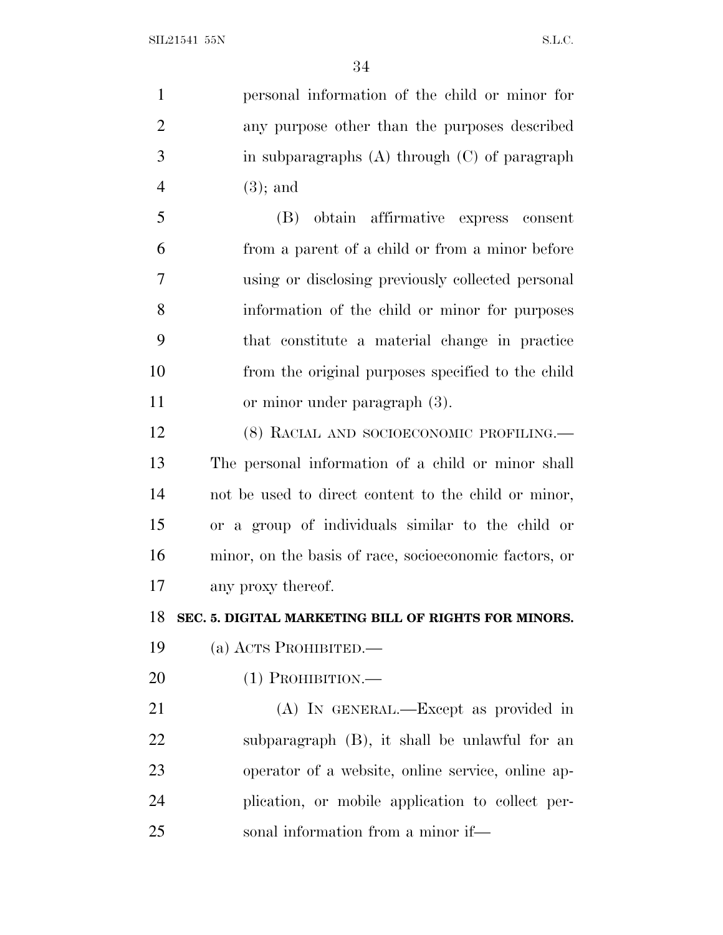personal information of the child or minor for any purpose other than the purposes described in subparagraphs (A) through (C) of paragraph (3); and (B) obtain affirmative express consent from a parent of a child or from a minor before using or disclosing previously collected personal information of the child or minor for purposes that constitute a material change in practice from the original purposes specified to the child or minor under paragraph (3). (8) RACIAL AND SOCIOECONOMIC PROFILING.— The personal information of a child or minor shall not be used to direct content to the child or minor, or a group of individuals similar to the child or

 minor, on the basis of race, socioeconomic factors, or any proxy thereof.

**SEC. 5. DIGITAL MARKETING BILL OF RIGHTS FOR MINORS.**

- (a) ACTS PROHIBITED.—
- (1) PROHIBITION.—

 (A) IN GENERAL.—Except as provided in subparagraph (B), it shall be unlawful for an operator of a website, online service, online ap- plication, or mobile application to collect per-sonal information from a minor if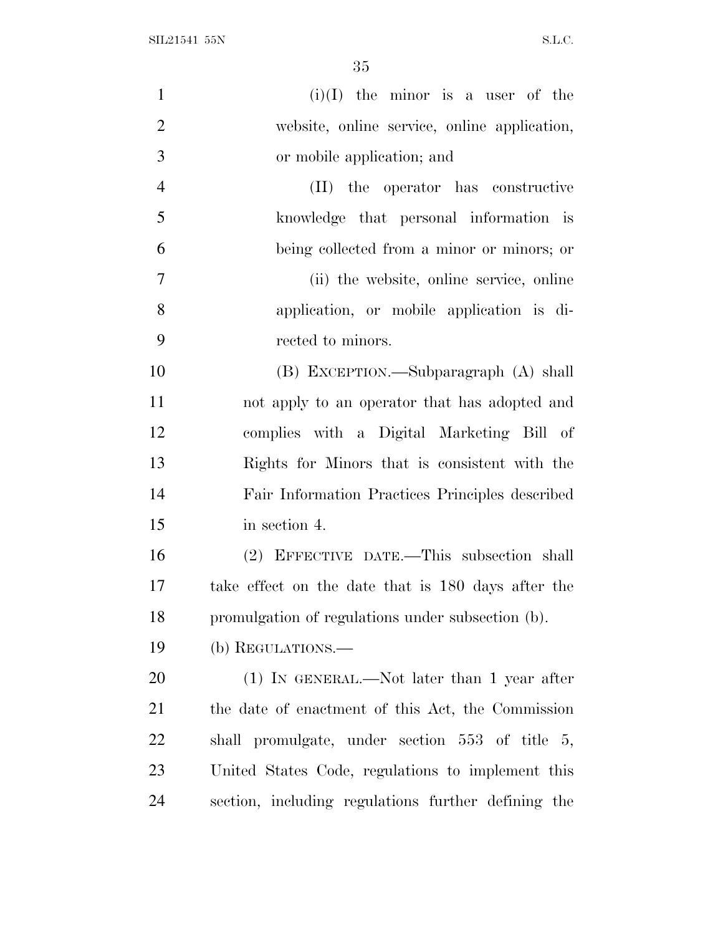SIL21541 55N S.L.C.

| $\mathbf{1}$     | $(i)(I)$ the minor is a user of the                 |
|------------------|-----------------------------------------------------|
| $\overline{2}$   | website, online service, online application,        |
| 3                | or mobile application; and                          |
| $\overline{4}$   | (II) the operator has constructive                  |
| 5                | knowledge that personal information is              |
| 6                | being collected from a minor or minors; or          |
| $\boldsymbol{7}$ | (ii) the website, online service, online            |
| 8                | application, or mobile application is di-           |
| 9                | rected to minors.                                   |
| 10               | (B) EXCEPTION.—Subparagraph (A) shall               |
| 11               | not apply to an operator that has adopted and       |
| 12               | complies with a Digital Marketing Bill of           |
| 13               | Rights for Minors that is consistent with the       |
| 14               | Fair Information Practices Principles described     |
| 15               | in section 4.                                       |
| 16               | (2) EFFECTIVE DATE.—This subsection shall           |
| 17               | take effect on the date that is 180 days after the  |
| 18               | promulgation of regulations under subsection (b).   |
| 19               | (b) REGULATIONS.—                                   |
| 20               | $(1)$ IN GENERAL.—Not later than 1 year after       |
| 21               | the date of enactment of this Act, the Commission   |
| 22               | shall promulgate, under section 553 of title 5,     |
| 23               | United States Code, regulations to implement this   |
| 24               | section, including regulations further defining the |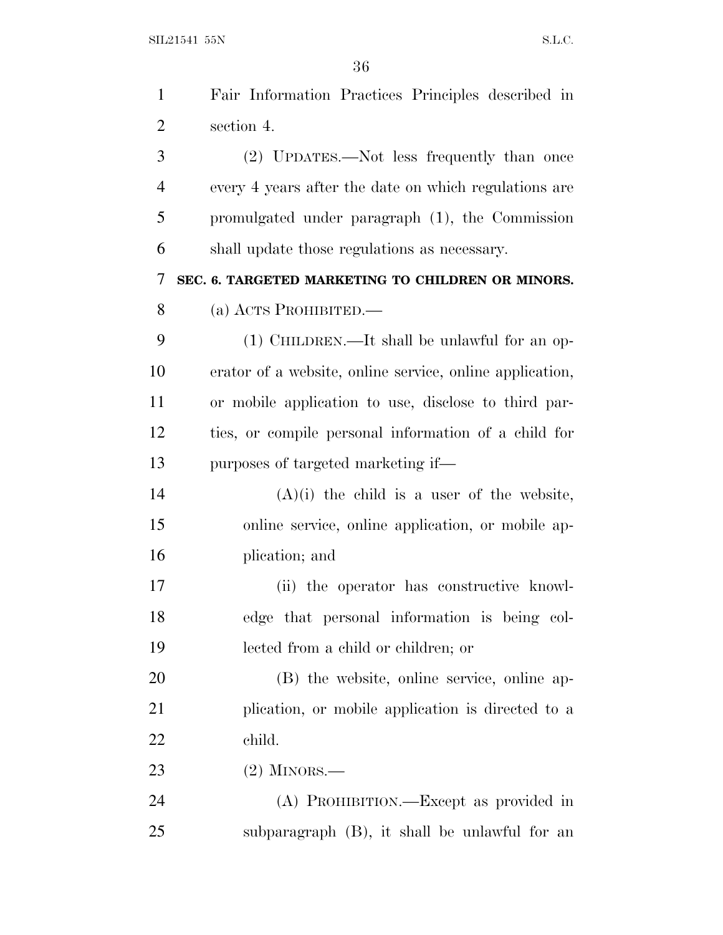SIL21541 55N S.L.C.

| $\mathbf{1}$   | Fair Information Practices Principles described in       |
|----------------|----------------------------------------------------------|
| $\overline{2}$ | section 4.                                               |
| 3              | (2) UPDATES.—Not less frequently than once               |
| $\overline{4}$ | every 4 years after the date on which regulations are    |
| 5              | promulgated under paragraph (1), the Commission          |
| 6              | shall update those regulations as necessary.             |
| 7              | SEC. 6. TARGETED MARKETING TO CHILDREN OR MINORS.        |
| 8              | (a) ACTS PROHIBITED.                                     |
| 9              | (1) CHILDREN.—It shall be unlawful for an op-            |
| 10             | erator of a website, online service, online application, |
| 11             | or mobile application to use, disclose to third par-     |
| 12             | ties, or compile personal information of a child for     |
| 13             | purposes of targeted marketing if—                       |
| 14             | $(A)(i)$ the child is a user of the website,             |
| 15             | online service, online application, or mobile ap-        |
| 16             | plication; and                                           |
| 17             | (ii) the operator has constructive knowl-                |
| 18             | edge that personal information is being col-             |
| 19             | lected from a child or children; or                      |
| 20             | (B) the website, online service, online ap-              |
| 21             | plication, or mobile application is directed to a        |
| 22             | child.                                                   |
| 23             | $(2)$ MINORS.—                                           |
| 24             | (A) PROHIBITION.—Except as provided in                   |
| 25             | subparagraph (B), it shall be unlawful for an            |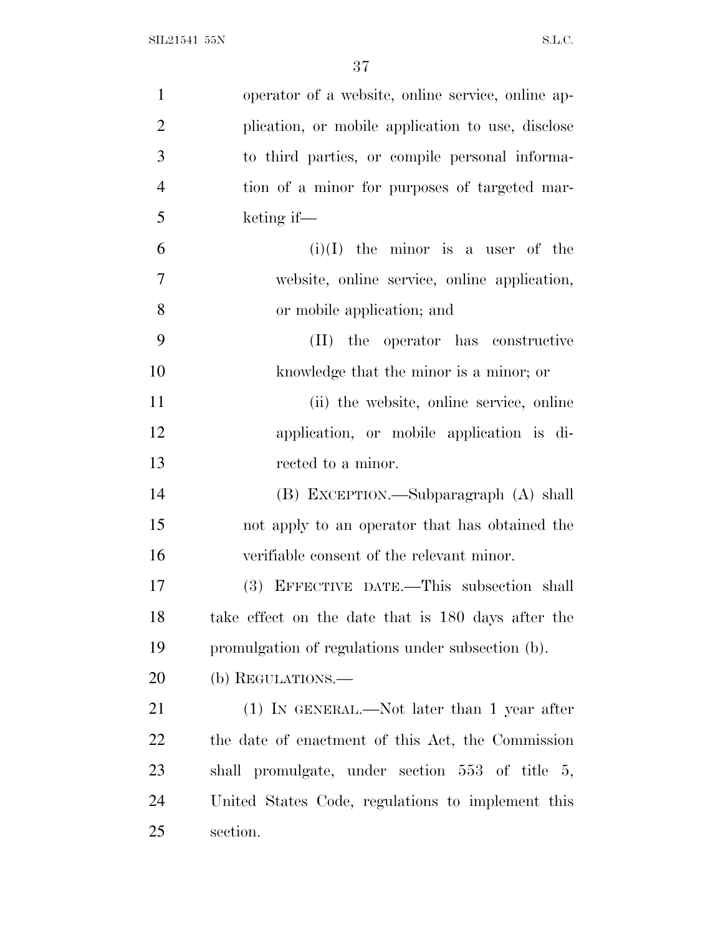| $\mathbf{1}$   | operator of a website, online service, online ap-  |
|----------------|----------------------------------------------------|
| $\overline{2}$ | plication, or mobile application to use, disclose  |
| 3              | to third parties, or compile personal informa-     |
| $\overline{4}$ | tion of a minor for purposes of targeted mar-      |
| 5              | keting if-                                         |
| 6              | $(i)(I)$ the minor is a user of the                |
| $\overline{7}$ | website, online service, online application,       |
| 8              | or mobile application; and                         |
| 9              | the operator has constructive<br>(II)              |
| 10             | knowledge that the minor is a minor; or            |
| 11             | (ii) the website, online service, online           |
| 12             | application, or mobile application is di-          |
| 13             | rected to a minor.                                 |
| 14             | (B) EXCEPTION.—Subparagraph (A) shall              |
| 15             | not apply to an operator that has obtained the     |
| 16             | verifiable consent of the relevant minor.          |
| 17             | (3) EFFECTIVE DATE.—This subsection shall          |
| 18             | take effect on the date that is 180 days after the |
| 19             | promulgation of regulations under subsection (b).  |
| 20             | (b) REGULATIONS.—                                  |
| 21             | $(1)$ IN GENERAL.—Not later than 1 year after      |
| 22             | the date of enactment of this Act, the Commission  |
| 23             | shall promulgate, under section 553 of title 5,    |
| 24             | United States Code, regulations to implement this  |
| 25             | section.                                           |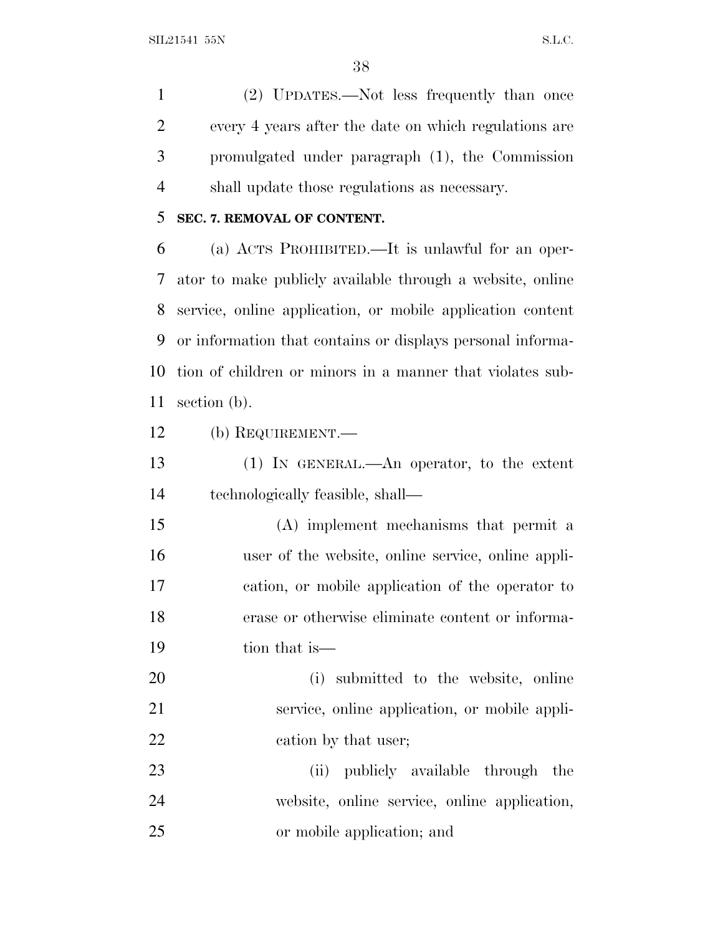SIL21541 55N S.L.C.

 (2) UPDATES.—Not less frequently than once every 4 years after the date on which regulations are promulgated under paragraph (1), the Commission shall update those regulations as necessary.

#### **SEC. 7. REMOVAL OF CONTENT.**

 (a) ACTS PROHIBITED.—It is unlawful for an oper- ator to make publicly available through a website, online service, online application, or mobile application content or information that contains or displays personal informa- tion of children or minors in a manner that violates sub-section (b).

(b) REQUIREMENT.—

 (1) IN GENERAL.—An operator, to the extent technologically feasible, shall—

 (A) implement mechanisms that permit a user of the website, online service, online appli- cation, or mobile application of the operator to erase or otherwise eliminate content or informa-tion that is—

 (i) submitted to the website, online service, online application, or mobile appli-22 cation by that user;

23 (ii) publicly available through the website, online service, online application, or mobile application; and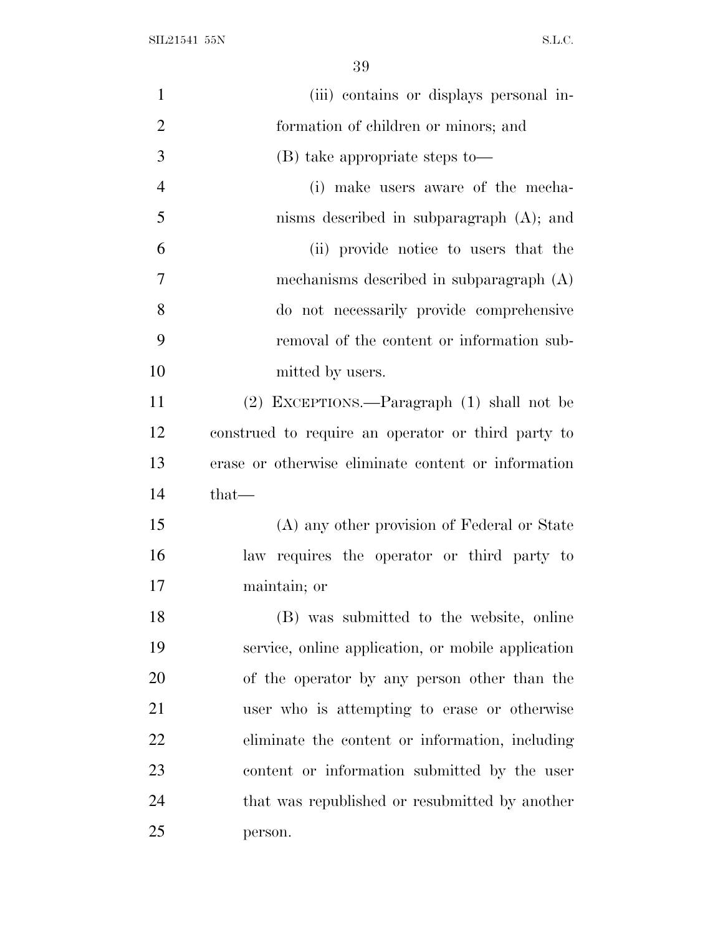SIL21541 55N S.L.C.

| $\mathbf{1}$   | (iii) contains or displays personal in-             |
|----------------|-----------------------------------------------------|
| $\overline{2}$ | formation of children or minors; and                |
| 3              | (B) take appropriate steps to—                      |
| $\overline{4}$ | (i) make users aware of the mecha-                  |
| 5              | nisms described in subparagraph $(A)$ ; and         |
| 6              | (ii) provide notice to users that the               |
| 7              | mechanisms described in subparagraph (A)            |
| 8              | do not necessarily provide comprehensive            |
| 9              | removal of the content or information sub-          |
| 10             | mitted by users.                                    |
| 11             | (2) EXCEPTIONS.—Paragraph (1) shall not be          |
| 12             | construed to require an operator or third party to  |
| 13             | erase or otherwise eliminate content or information |
| 14             | $that$ —                                            |
| 15             | (A) any other provision of Federal or State         |
| 16             | law requires the operator or third party to         |
| 17             | maintain; or                                        |
| 18             | (B) was submitted to the website, online            |
| 19             | service, online application, or mobile application  |
| 20             | of the operator by any person other than the        |
| 21             | user who is attempting to erase or otherwise        |
| 22             | eliminate the content or information, including     |
| 23             | content or information submitted by the user        |
| 24             | that was republished or resubmitted by another      |
| 25             | person.                                             |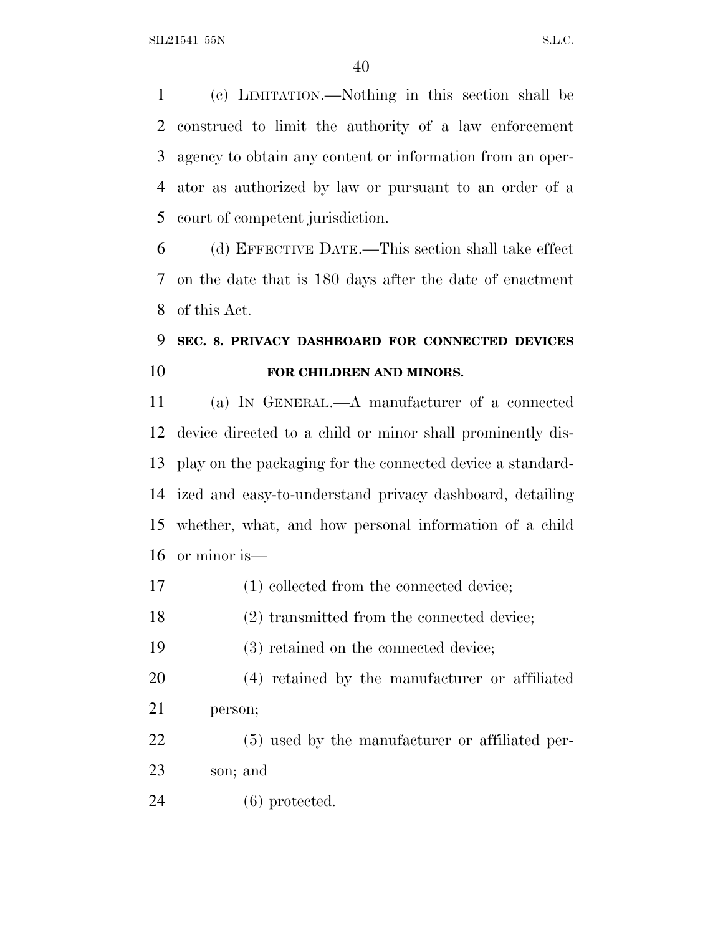(c) LIMITATION.—Nothing in this section shall be construed to limit the authority of a law enforcement agency to obtain any content or information from an oper- ator as authorized by law or pursuant to an order of a court of competent jurisdiction.

 (d) EFFECTIVE DATE.—This section shall take effect on the date that is 180 days after the date of enactment of this Act.

## **SEC. 8. PRIVACY DASHBOARD FOR CONNECTED DEVICES FOR CHILDREN AND MINORS.**

 (a) I<sup>N</sup> GENERAL.—A manufacturer of a connected device directed to a child or minor shall prominently dis- play on the packaging for the connected device a standard- ized and easy-to-understand privacy dashboard, detailing whether, what, and how personal information of a child or minor is—

- 17 (1) collected from the connected device;
- (2) transmitted from the connected device;
- (3) retained on the connected device;
- (4) retained by the manufacturer or affiliated person;
- (5) used by the manufacturer or affiliated per-son; and
- (6) protected.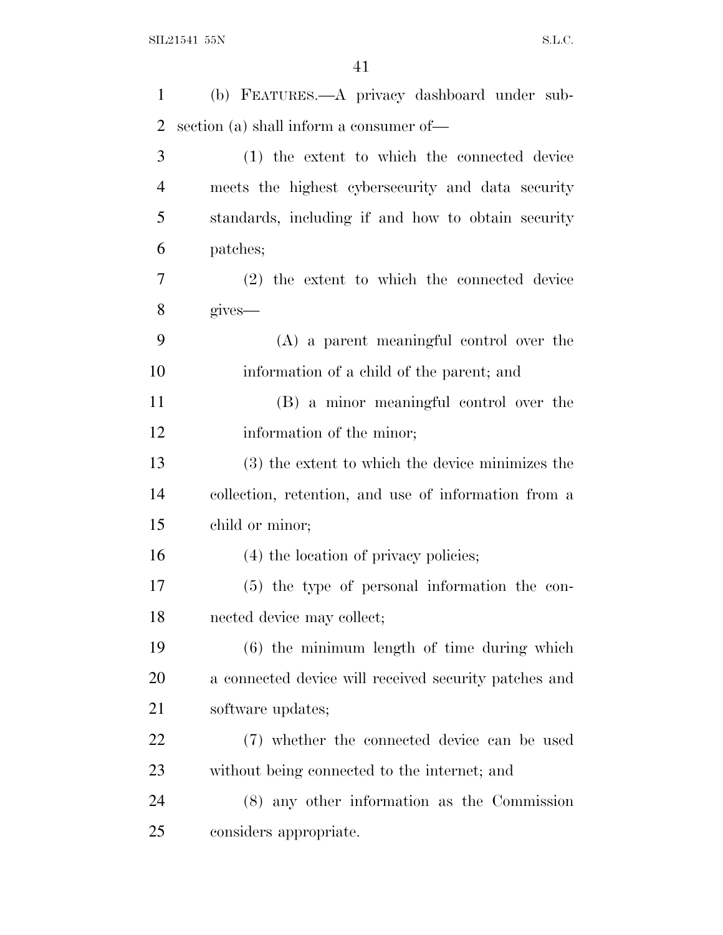| 1              | (b) FEATURES.—A privacy dashboard under sub-          |
|----------------|-------------------------------------------------------|
| $\overline{2}$ | section (a) shall inform a consumer of—               |
| 3              | (1) the extent to which the connected device          |
| $\overline{4}$ | meets the highest cybersecurity and data security     |
| 5              | standards, including if and how to obtain security    |
| 6              | patches;                                              |
| 7              | (2) the extent to which the connected device          |
| 8              | gives—                                                |
| 9              | $(A)$ a parent meaningful control over the            |
| 10             | information of a child of the parent; and             |
| 11             | (B) a minor meaningful control over the               |
| 12             | information of the minor;                             |
| 13             | (3) the extent to which the device minimizes the      |
| 14             | collection, retention, and use of information from a  |
| 15             | child or minor;                                       |
| 16             | (4) the location of privacy policies;                 |
| 17             | (5) the type of personal information the con-         |
| 18             | nected device may collect;                            |
| 19             | $(6)$ the minimum length of time during which         |
| 20             | a connected device will received security patches and |
| 21             | software updates;                                     |
| 22             | (7) whether the connected device can be used          |
| 23             | without being connected to the internet; and          |
| 24             | $(8)$ any other information as the Commission         |
| 25             | considers appropriate.                                |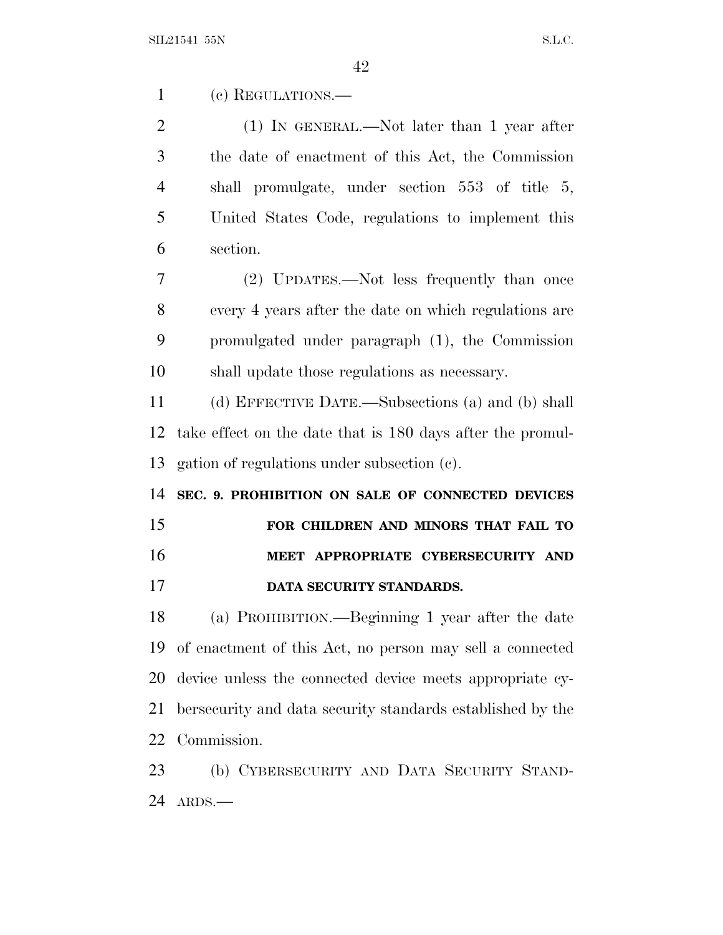(c) REGULATIONS.—

 (1) IN GENERAL.—Not later than 1 year after the date of enactment of this Act, the Commission shall promulgate, under section 553 of title 5, United States Code, regulations to implement this section.

 (2) UPDATES.—Not less frequently than once every 4 years after the date on which regulations are promulgated under paragraph (1), the Commission shall update those regulations as necessary.

 (d) EFFECTIVE DATE.—Subsections (a) and (b) shall take effect on the date that is 180 days after the promul-gation of regulations under subsection (c).

 **SEC. 9. PROHIBITION ON SALE OF CONNECTED DEVICES FOR CHILDREN AND MINORS THAT FAIL TO**

### **MEET APPROPRIATE CYBERSECURITY AND**

**DATA SECURITY STANDARDS.**

 (a) PROHIBITION.—Beginning 1 year after the date of enactment of this Act, no person may sell a connected device unless the connected device meets appropriate cy- bersecurity and data security standards established by the Commission.

 (b) CYBERSECURITY AND DATA SECURITY STAND-ARDS.—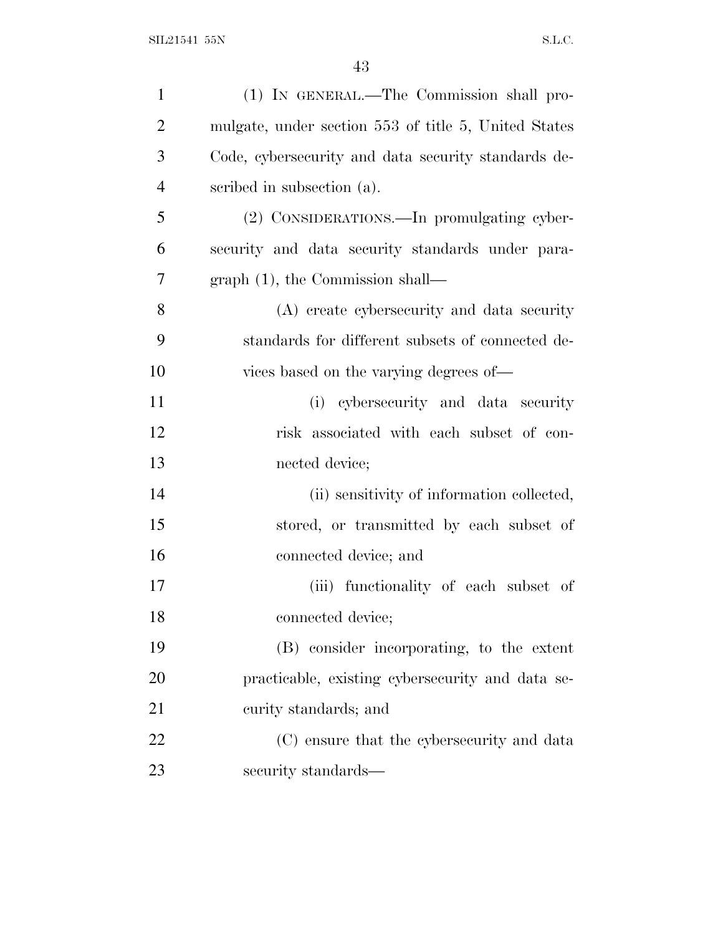| $\mathbf{1}$   | (1) IN GENERAL.—The Commission shall pro-            |
|----------------|------------------------------------------------------|
| $\overline{2}$ | mulgate, under section 553 of title 5, United States |
| 3              | Code, cybersecurity and data security standards de-  |
| $\overline{4}$ | scribed in subsection (a).                           |
| 5              | (2) CONSIDERATIONS.—In promulgating cyber-           |
| 6              | security and data security standards under para-     |
| 7              | $graph(1)$ , the Commission shall—                   |
| 8              | (A) create cybersecurity and data security           |
| 9              | standards for different subsets of connected de-     |
| 10             | vices based on the varying degrees of—               |
| 11             | (i) cybersecurity and data security                  |
| 12             | risk associated with each subset of con-             |
| 13             | nected device;                                       |
| 14             | (ii) sensitivity of information collected,           |
| 15             | stored, or transmitted by each subset of             |
| 16             | connected device; and                                |
| 17             | (iii) functionality of each subset of                |
| 18             | connected device;                                    |
| 19             | (B) consider incorporating, to the extent            |
| <b>20</b>      | practicable, existing cybersecurity and data se-     |
| 21             | curity standards; and                                |
| 22             | (C) ensure that the cybers ecurity and data          |
| 23             | security standards—                                  |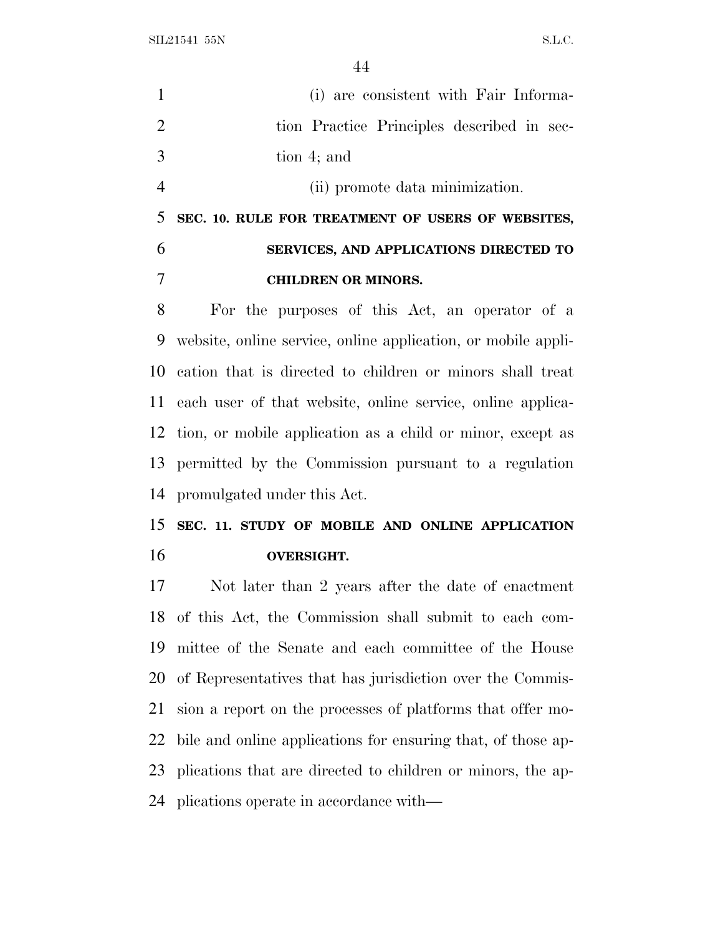SIL21541 55N S.L.C.

|                | (i) are consistent with Fair Informa-                         |
|----------------|---------------------------------------------------------------|
| 2              | tion Practice Principles described in sec-                    |
| 3              | tion 4; and                                                   |
| $\overline{4}$ | (ii) promote data minimization.                               |
| 5              | SEC. 10. RULE FOR TREATMENT OF USERS OF WEBSITES,             |
| 6              | SERVICES, AND APPLICATIONS DIRECTED TO                        |
| 7              | <b>CHILDREN OR MINORS.</b>                                    |
| 8              | For the purposes of this Act, an operator of a                |
| 9              | website, online service, online application, or mobile appli- |
|                | 10 cation that is directed to children or minors shall treat  |

 each user of that website, online service, online applica- tion, or mobile application as a child or minor, except as permitted by the Commission pursuant to a regulation promulgated under this Act.

 **SEC. 11. STUDY OF MOBILE AND ONLINE APPLICATION OVERSIGHT.**

 Not later than 2 years after the date of enactment of this Act, the Commission shall submit to each com- mittee of the Senate and each committee of the House of Representatives that has jurisdiction over the Commis- sion a report on the processes of platforms that offer mo- bile and online applications for ensuring that, of those ap- plications that are directed to children or minors, the ap-plications operate in accordance with—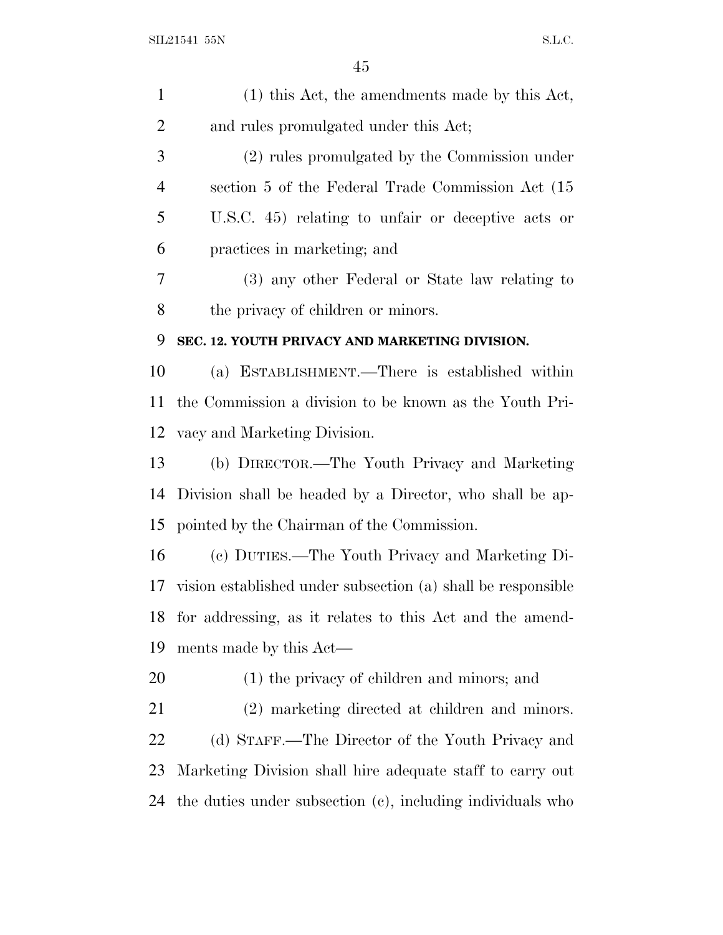| $\mathbf{1}$   | $(1)$ this Act, the amendments made by this Act,             |
|----------------|--------------------------------------------------------------|
| 2              | and rules promulgated under this Act;                        |
| 3              | (2) rules promulgated by the Commission under                |
| $\overline{4}$ | section 5 of the Federal Trade Commission Act (15)           |
| 5              | U.S.C. 45) relating to unfair or deceptive acts or           |
| 6              | practices in marketing; and                                  |
| 7              | (3) any other Federal or State law relating to               |
| 8              | the privacy of children or minors.                           |
| 9              | SEC. 12. YOUTH PRIVACY AND MARKETING DIVISION.               |
| 10             | (a) ESTABLISHMENT.—There is established within               |
| 11             | the Commission a division to be known as the Youth Pri-      |
| 12             | vacy and Marketing Division.                                 |
| 13             | (b) DIRECTOR.—The Youth Privacy and Marketing                |
| 14             | Division shall be headed by a Director, who shall be ap-     |
| 15             | pointed by the Chairman of the Commission.                   |
| 16             | (c) DUTIES.—The Youth Privacy and Marketing Di-              |
| 17             | vision established under subsection (a) shall be responsible |
| 18             | for addressing, as it relates to this Act and the amend-     |
| 19             | ments made by this Act—                                      |
| 20             | (1) the privacy of children and minors; and                  |
| 21             | (2) marketing directed at children and minors.               |
| 22             | (d) STAFF.—The Director of the Youth Privacy and             |
| 23             | Marketing Division shall hire adequate staff to carry out    |
| 24             | the duties under subsection (c), including individuals who   |
|                |                                                              |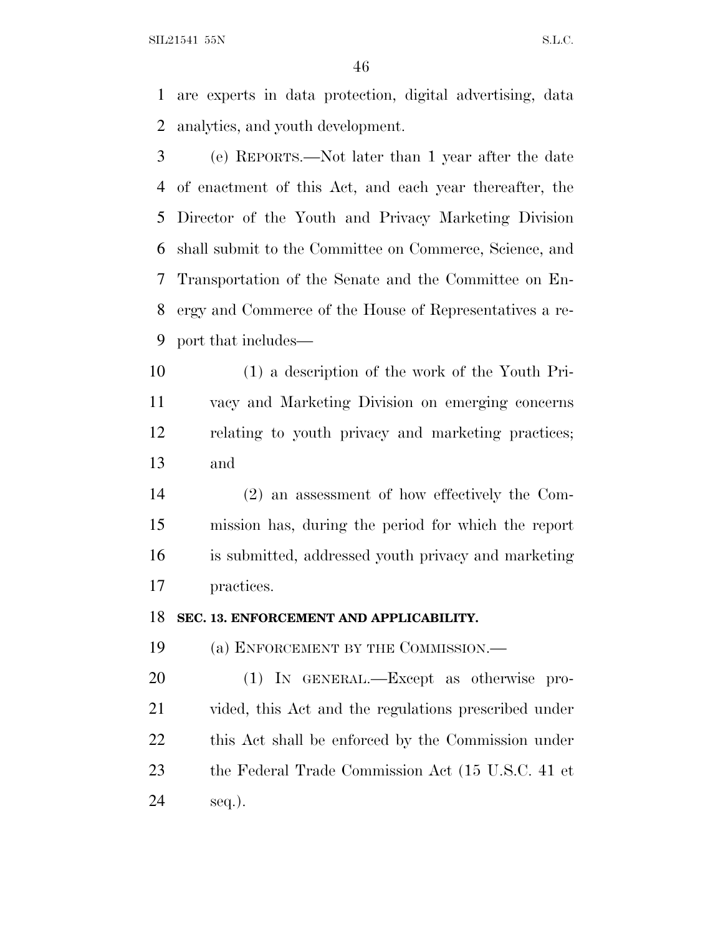$SLL21541$  55N S.L.C.

 are experts in data protection, digital advertising, data analytics, and youth development.

 (e) REPORTS.—Not later than 1 year after the date of enactment of this Act, and each year thereafter, the Director of the Youth and Privacy Marketing Division shall submit to the Committee on Commerce, Science, and Transportation of the Senate and the Committee on En- ergy and Commerce of the House of Representatives a re-port that includes—

 (1) a description of the work of the Youth Pri- vacy and Marketing Division on emerging concerns relating to youth privacy and marketing practices; and

 (2) an assessment of how effectively the Com- mission has, during the period for which the report is submitted, addressed youth privacy and marketing practices.

#### **SEC. 13. ENFORCEMENT AND APPLICABILITY.**

(a) ENFORCEMENT BY THE COMMISSION.—

 (1) IN GENERAL.—Except as otherwise pro- vided, this Act and the regulations prescribed under this Act shall be enforced by the Commission under the Federal Trade Commission Act (15 U.S.C. 41 et seq.).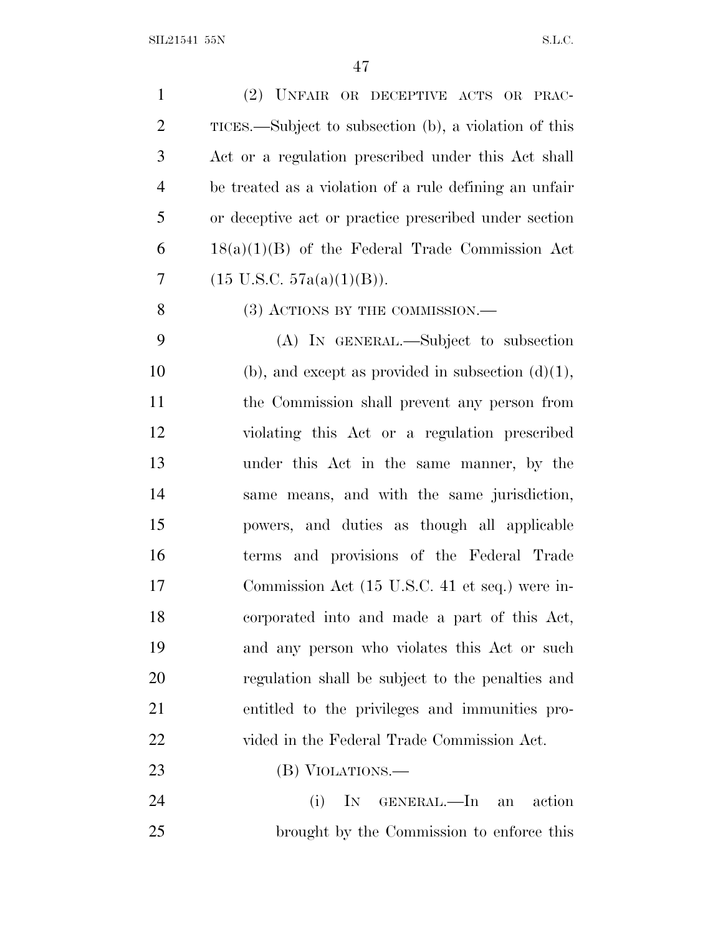| $\mathbf{1}$   | (2) UNFAIR OR DECEPTIVE ACTS OR PRAC-                  |
|----------------|--------------------------------------------------------|
| $\overline{2}$ | TICES.—Subject to subsection (b), a violation of this  |
| 3              | Act or a regulation prescribed under this Act shall    |
| $\overline{4}$ | be treated as a violation of a rule defining an unfair |
| 5              |                                                        |
|                | or deceptive act or practice prescribed under section  |
| 6              | $18(a)(1)(B)$ of the Federal Trade Commission Act      |
| 7              | $(15 \text{ U.S.C. } 57a(a)(1)(B)).$                   |
| 8              | $(3)$ ACTIONS BY THE COMMISSION.—                      |
| 9              | (A) IN GENERAL.—Subject to subsection                  |
| 10             | (b), and except as provided in subsection $(d)(1)$ ,   |
| 11             | the Commission shall prevent any person from           |
| 12             | violating this Act or a regulation prescribed          |
| 13             | under this Act in the same manner, by the              |
| 14             | same means, and with the same jurisdiction,            |
| 15             | powers, and duties as though all applicable            |
| 16             | terms and provisions of the Federal Trade              |
| 17             | Commission Act (15 U.S.C. 41 et seq.) were in-         |
| 18             | corporated into and made a part of this Act,           |
| 19             | and any person who violates this Act or such           |
| 20             | regulation shall be subject to the penalties and       |
| 21             | entitled to the privileges and immunities pro-         |
| 22             | vided in the Federal Trade Commission Act.             |
| 23             | (B) VIOLATIONS.—                                       |
| 24             | (i)<br>IN GENERAL.—In an action                        |
| 25             | brought by the Commission to enforce this              |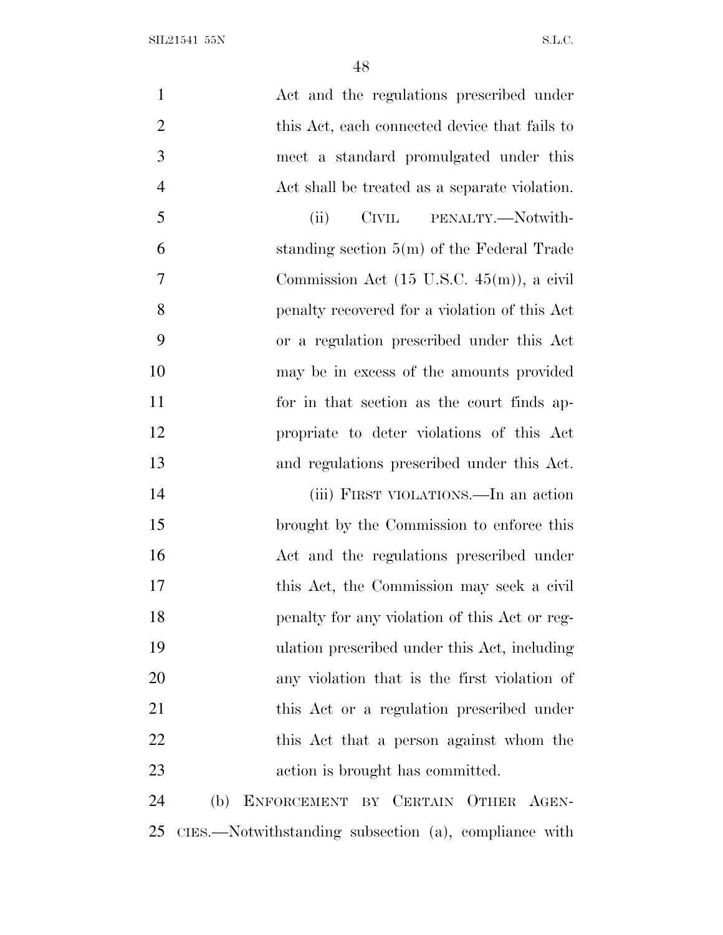$\text{SIL21541 55N} \tag{S.L.C.}$ 

| $\mathbf{1}$   | Act and the regulations prescribed under              |
|----------------|-------------------------------------------------------|
| $\overline{2}$ | this Act, each connected device that fails to         |
| 3              | meet a standard promulgated under this                |
| $\overline{4}$ | Act shall be treated as a separate violation.         |
| 5              | CIVIL PENALTY.-Notwith-<br>(ii)                       |
| 6              | standing section $5(m)$ of the Federal Trade          |
| 7              | Commission Act $(15 \text{ U.S.C. } 45(m))$ , a civil |
| 8              | penalty recovered for a violation of this Act         |
| 9              | or a regulation prescribed under this Act             |
| 10             | may be in excess of the amounts provided              |
| 11             | for in that section as the court finds ap-            |
| 12             | propriate to deter violations of this Act             |
| 13             | and regulations prescribed under this Act.            |
| 14             | (iii) FIRST VIOLATIONS.—In an action                  |
| 15             | brought by the Commission to enforce this             |
| 16             | Act and the regulations prescribed under              |
| 17             | this Act, the Commission may seek a civil             |
| 18             | penalty for any violation of this Act or reg-         |
| 19             | ulation prescribed under this Act, including          |
| 20             | any violation that is the first violation of          |
| 21             | this Act or a regulation prescribed under             |
| 22             | this Act that a person against whom the               |
| 23             | action is brought has committed.                      |
| 24             | (b) ENFORCEMENT BY CERTAIN OTHER AGEN-                |
|                |                                                       |

CIES.—Notwithstanding subsection (a), compliance with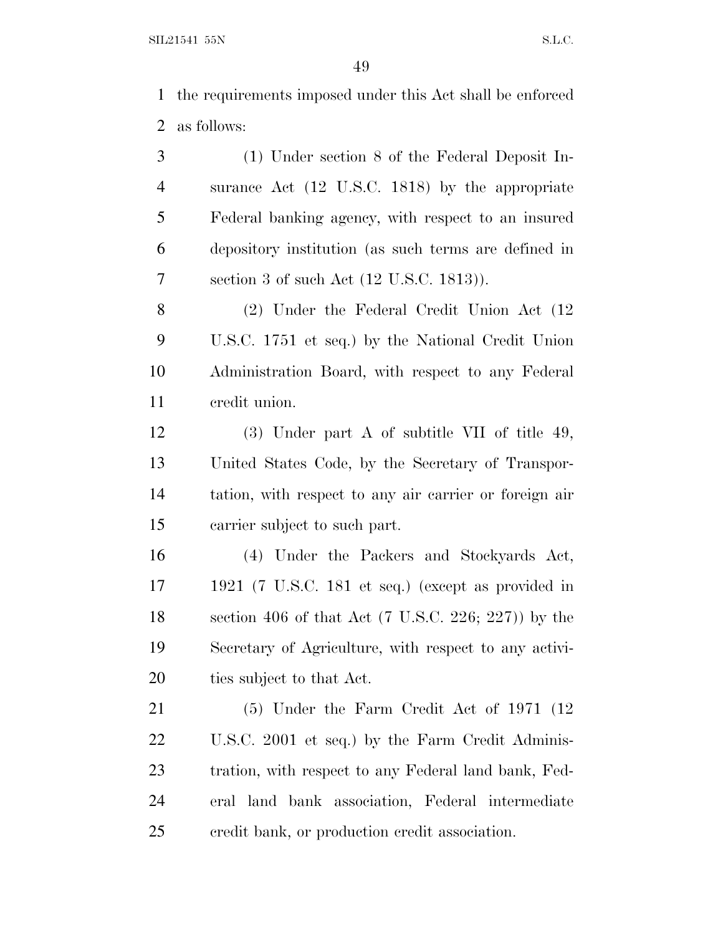the requirements imposed under this Act shall be enforced as follows:

 (1) Under section 8 of the Federal Deposit In- surance Act (12 U.S.C. 1818) by the appropriate Federal banking agency, with respect to an insured depository institution (as such terms are defined in section 3 of such Act (12 U.S.C. 1813)).

 (2) Under the Federal Credit Union Act (12 U.S.C. 1751 et seq.) by the National Credit Union Administration Board, with respect to any Federal credit union.

 (3) Under part A of subtitle VII of title 49, United States Code, by the Secretary of Transpor- tation, with respect to any air carrier or foreign air carrier subject to such part.

 (4) Under the Packers and Stockyards Act, 1921 (7 U.S.C. 181 et seq.) (except as provided in section 406 of that Act (7 U.S.C. 226; 227)) by the Secretary of Agriculture, with respect to any activi-ties subject to that Act.

 (5) Under the Farm Credit Act of 1971 (12 U.S.C. 2001 et seq.) by the Farm Credit Adminis- tration, with respect to any Federal land bank, Fed- eral land bank association, Federal intermediate credit bank, or production credit association.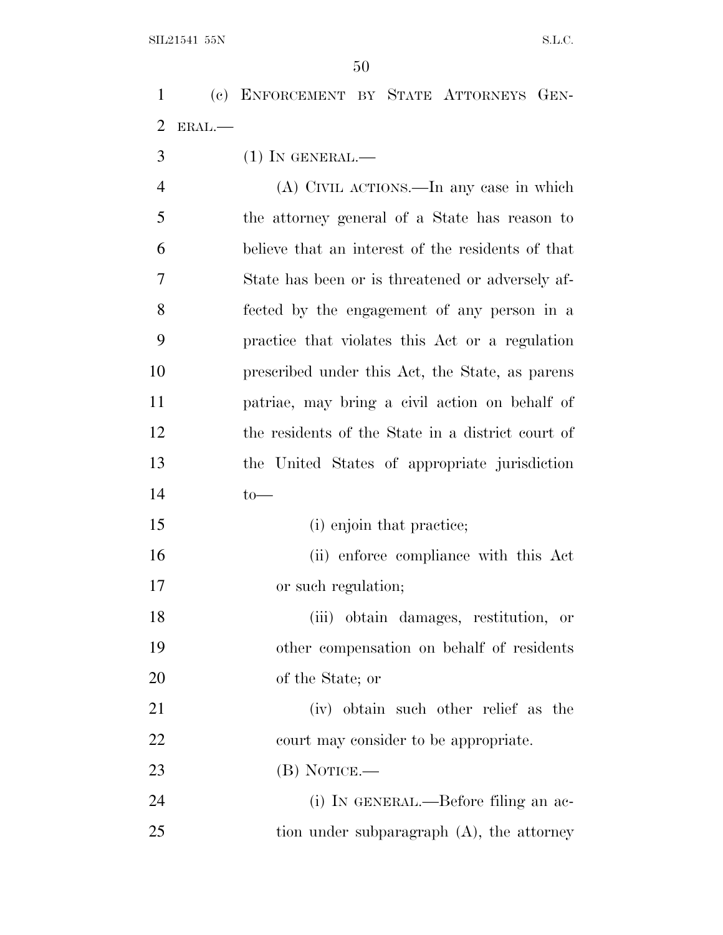(c) ENFORCEMENT BY STATE ATTORNEYS GEN-ERAL.—

(1) IN GENERAL.—

 (A) CIVIL ACTIONS.—In any case in which the attorney general of a State has reason to believe that an interest of the residents of that State has been or is threatened or adversely af- fected by the engagement of any person in a practice that violates this Act or a regulation prescribed under this Act, the State, as parens patriae, may bring a civil action on behalf of the residents of the State in a district court of the United States of appropriate jurisdiction to—

15 (i) enjoin that practice;

 (ii) enforce compliance with this Act or such regulation;

 (iii) obtain damages, restitution, or other compensation on behalf of residents of the State; or

 (iv) obtain such other relief as the 22 court may consider to be appropriate.

(B) NOTICE.—

 (i) IN GENERAL.—Before filing an ac-25 tion under subparagraph (A), the attorney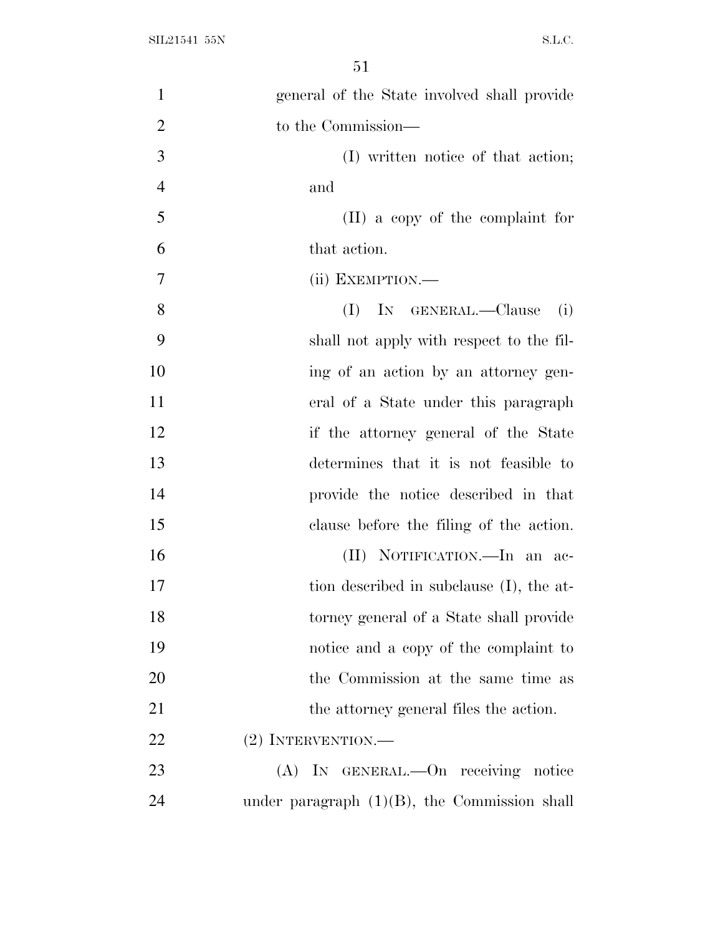| 1              | general of the State involved shall provide     |
|----------------|-------------------------------------------------|
| $\overline{2}$ | to the Commission—                              |
| 3              | (I) written notice of that action;              |
| $\overline{4}$ | and                                             |
| 5              | $(II)$ a copy of the complaint for              |
| 6              | that action.                                    |
| 7              | (ii) EXEMPTION.—                                |
| 8              | IN GENERAL.-Clause<br>(I)<br>(i)                |
| 9              | shall not apply with respect to the fil-        |
| 10             | ing of an action by an attorney gen-            |
| 11             | eral of a State under this paragraph            |
| 12             | if the attorney general of the State            |
| 13             | determines that it is not feasible to           |
| 14             | provide the notice described in that            |
| 15             | clause before the filing of the action.         |
| 16             | (II) NOTIFICATION.—In an ac-                    |
| 17             | tion described in subclause (I), the at-        |
| 18             | torney general of a State shall provide         |
| 19             | notice and a copy of the complaint to           |
| 20             | the Commission at the same time as              |
| 21             | the attorney general files the action.          |
| 22             | (2) INTERVENTION.-                              |
| 23             | (A) IN GENERAL.—On receiving notice             |
| 24             | under paragraph $(1)(B)$ , the Commission shall |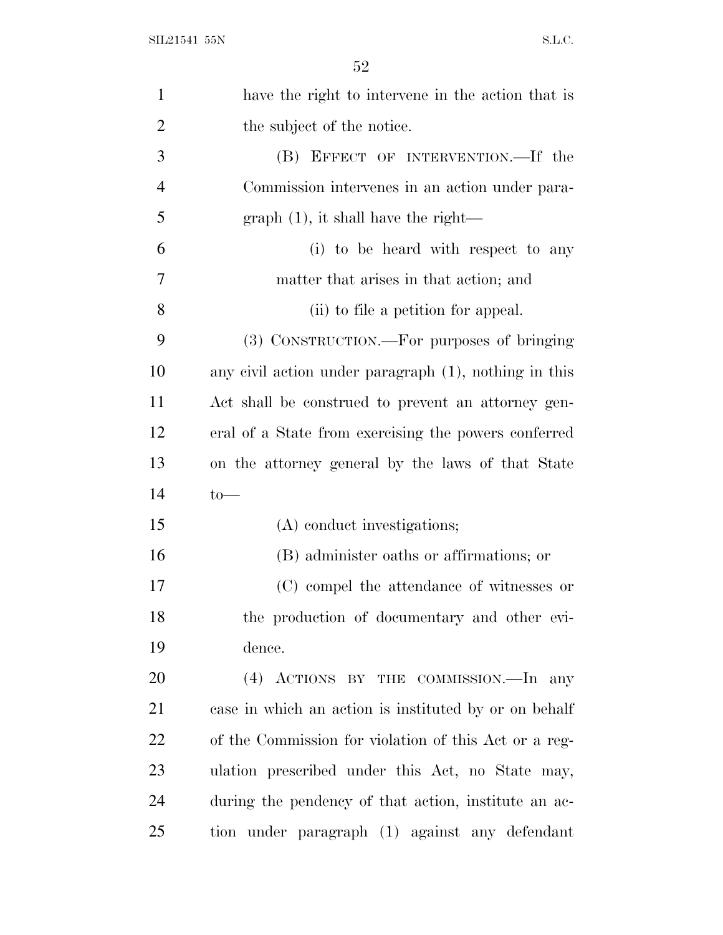| $\mathbf{1}$   | have the right to intervene in the action that is     |
|----------------|-------------------------------------------------------|
| $\overline{2}$ | the subject of the notice.                            |
| 3              | (B) EFFECT OF INTERVENTION.—If the                    |
| $\overline{4}$ | Commission intervenes in an action under para-        |
| 5              | $graph(1)$ , it shall have the right—                 |
| 6              | (i) to be heard with respect to any                   |
| 7              | matter that arises in that action; and                |
| 8              | (ii) to file a petition for appeal.                   |
| 9              | (3) CONSTRUCTION.—For purposes of bringing            |
| 10             | any civil action under paragraph (1), nothing in this |
| 11             | Act shall be construed to prevent an attorney gen-    |
| 12             | eral of a State from exercising the powers conferred  |
| 13             | on the attorney general by the laws of that State     |
| 14             | $to-$                                                 |
| 15             | (A) conduct investigations;                           |
| 16             | (B) administer oaths or affirmations; or              |
| 17             | (C) compel the attendance of witnesses or             |
| 18             | the production of documentary and other evi-          |
| 19             | dence.                                                |
| 20             | (4) ACTIONS BY THE COMMISSION.—In any                 |
| 21             | case in which an action is instituted by or on behalf |
| 22             | of the Commission for violation of this Act or a reg- |
| 23             | ulation prescribed under this Act, no State may,      |
| 24             | during the pendency of that action, institute an ac-  |
| 25             | tion under paragraph (1) against any defendant        |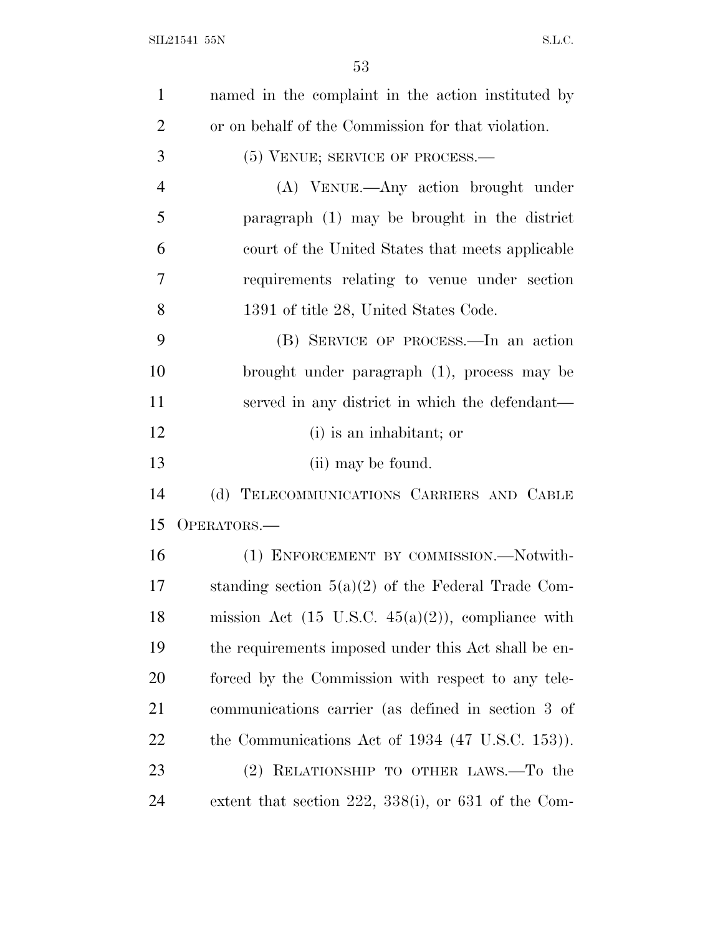| $\mathbf{1}$   | named in the complaint in the action instituted by            |
|----------------|---------------------------------------------------------------|
|                |                                                               |
| $\overline{2}$ | or on behalf of the Commission for that violation.            |
| 3              | (5) VENUE; SERVICE OF PROCESS.—                               |
| $\overline{4}$ | (A) VENUE.—Any action brought under                           |
| 5              | paragraph (1) may be brought in the district                  |
| 6              | court of the United States that meets applicable              |
| 7              | requirements relating to venue under section                  |
| 8              | 1391 of title 28, United States Code.                         |
| 9              | (B) SERVICE OF PROCESS.—In an action                          |
| 10             | brought under paragraph (1), process may be                   |
| 11             | served in any district in which the defendant—                |
| 12             | (i) is an inhabitant; or                                      |
| 13             | (ii) may be found.                                            |
| 14             | (d) TELECOMMUNICATIONS CARRIERS AND CABLE                     |
| 15             | OPERATORS.—                                                   |
| 16             | (1) ENFORCEMENT BY COMMISSION.—Notwith-                       |
| 17             | standing section $5(a)(2)$ of the Federal Trade Com-          |
| 18             | mission Act $(15 \text{ U.S.C. } 45(a)(2))$ , compliance with |
| 19             | the requirements imposed under this Act shall be en-          |
| 20             | forced by the Commission with respect to any tele-            |
| 21             | communications carrier (as defined in section 3 of            |
| 22             | the Communications Act of 1934 (47 U.S.C. 153)).              |
| 23             | (2) RELATIONSHIP TO OTHER LAWS.—To the                        |
| 24             | extent that section 222, 338(i), or 631 of the Com-           |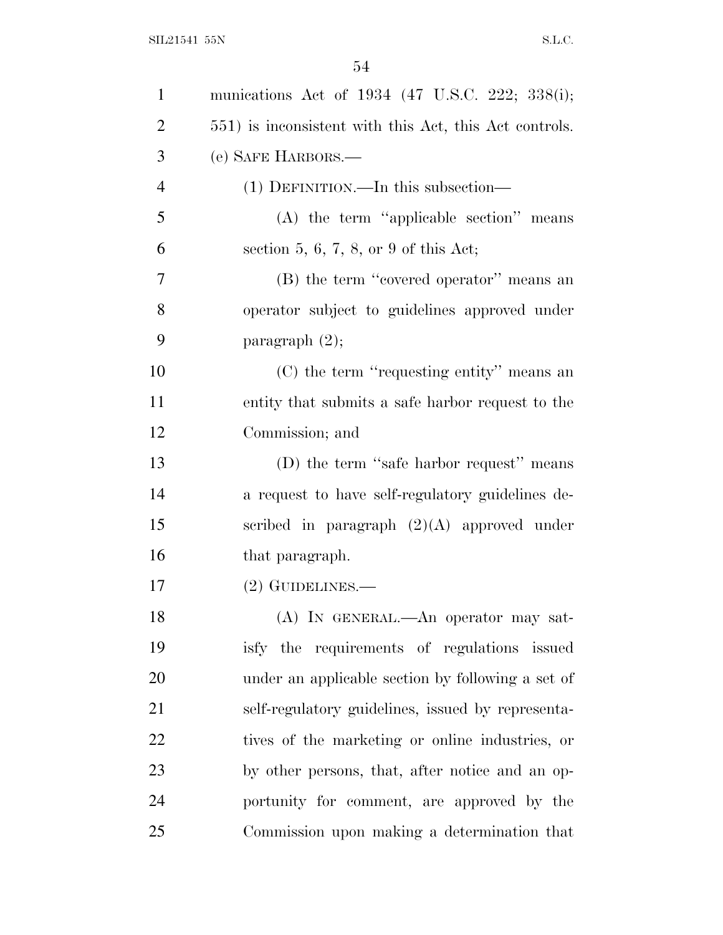| $\mathbf{1}$   | munications Act of 1934 (47 U.S.C. 222; 338(i);        |
|----------------|--------------------------------------------------------|
| $\overline{2}$ | 551) is inconsistent with this Act, this Act controls. |
| 3              | (e) SAFE HARBORS.—                                     |
| $\overline{4}$ | $(1)$ DEFINITION.—In this subsection—                  |
| 5              | $(A)$ the term "applicable section" means              |
| 6              | section 5, 6, 7, 8, or 9 of this Act;                  |
| 7              | (B) the term "covered operator" means an               |
| 8              | operator subject to guidelines approved under          |
| 9              | paragraph $(2)$ ;                                      |
| 10             | (C) the term "requesting entity" means an              |
| 11             | entity that submits a safe harbor request to the       |
| 12             | Commission; and                                        |
| 13             | (D) the term "safe harbor request" means               |
| 14             | a request to have self-regulatory guidelines de-       |
| 15             | scribed in paragraph $(2)(A)$ approved under           |
| 16             | that paragraph.                                        |
| 17             | $(2)$ GUIDELINES.—                                     |
| 18             | (A) IN GENERAL.—An operator may sat-                   |
| 19             | isfy the requirements of regulations issued            |
| 20             | under an applicable section by following a set of      |
| 21             | self-regulatory guidelines, issued by representa-      |
| 22             | tives of the marketing or online industries, or        |
| 23             | by other persons, that, after notice and an op-        |
| 24             | portunity for comment, are approved by the             |
| 25             | Commission upon making a determination that            |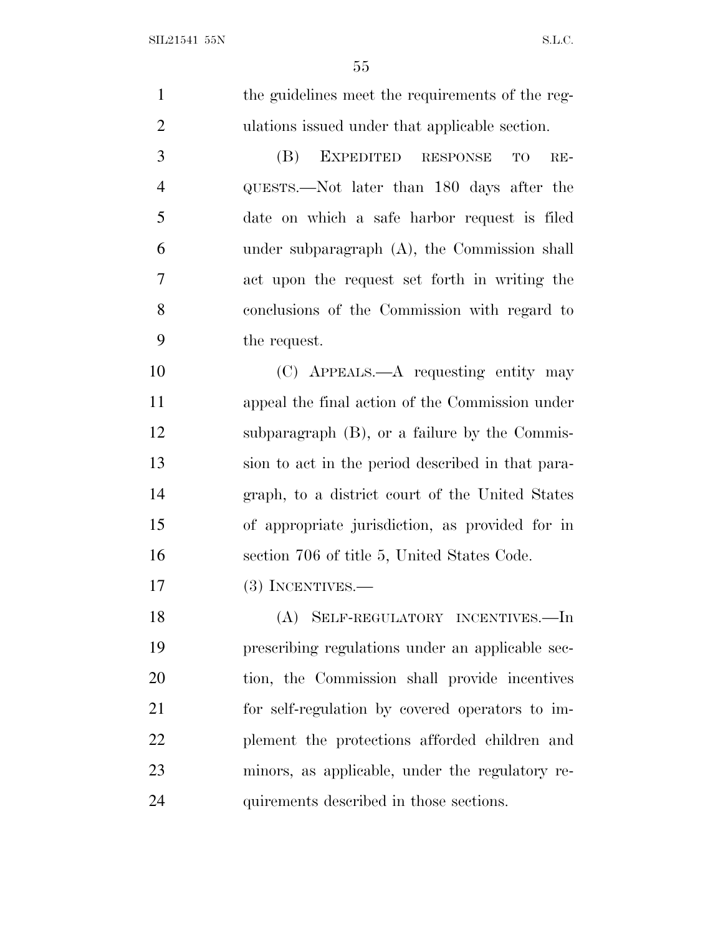1 the guidelines meet the requirements of the reg- ulations issued under that applicable section. (B) EXPEDITED RESPONSE TO RE- QUESTS.—Not later than 180 days after the date on which a safe harbor request is filed under subparagraph (A), the Commission shall act upon the request set forth in writing the conclusions of the Commission with regard to the request. (C) APPEALS.—A requesting entity may appeal the final action of the Commission under subparagraph (B), or a failure by the Commis- sion to act in the period described in that para- graph, to a district court of the United States of appropriate jurisdiction, as provided for in section 706 of title 5, United States Code. 17 (3) INCENTIVES.— (A) SELF-REGULATORY INCENTIVES.—In prescribing regulations under an applicable sec- tion, the Commission shall provide incentives for self-regulation by covered operators to im- plement the protections afforded children and minors, as applicable, under the regulatory re-quirements described in those sections.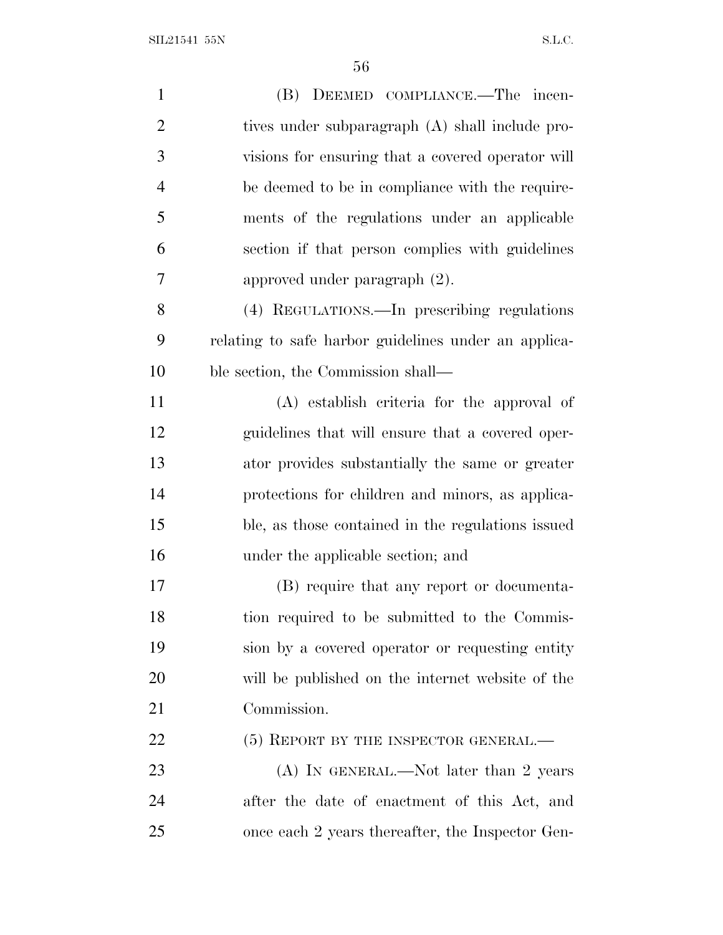SIL21541 55N S.L.C.

| $\mathbf{1}$   | (B) DEEMED COMPLIANCE.—The incen-                    |
|----------------|------------------------------------------------------|
| $\overline{2}$ | tives under subparagraph (A) shall include pro-      |
| 3              | visions for ensuring that a covered operator will    |
| $\overline{4}$ | be deemed to be in compliance with the require-      |
| 5              | ments of the regulations under an applicable         |
| 6              | section if that person complies with guidelines      |
| 7              | approved under paragraph $(2)$ .                     |
| 8              | (4) REGULATIONS.—In prescribing regulations          |
| 9              | relating to safe harbor guidelines under an applica- |
| 10             | ble section, the Commission shall—                   |
| 11             | (A) establish criteria for the approval of           |
| 12             | guidelines that will ensure that a covered oper-     |
| 13             | ator provides substantially the same or greater      |
| 14             | protections for children and minors, as applica-     |
| 15             | ble, as those contained in the regulations issued    |
| 16             | under the applicable section; and                    |
| 17             | (B) require that any report or documenta-            |
| 18             | tion required to be submitted to the Commis-         |
| 19             | sion by a covered operator or requesting entity      |
| 20             | will be published on the internet website of the     |
| 21             | Commission.                                          |
| 22             | (5) REPORT BY THE INSPECTOR GENERAL.-                |
| 23             | (A) IN GENERAL.—Not later than 2 years               |
| 24             | after the date of enactment of this Act, and         |
| 25             | once each 2 years thereafter, the Inspector Gen-     |